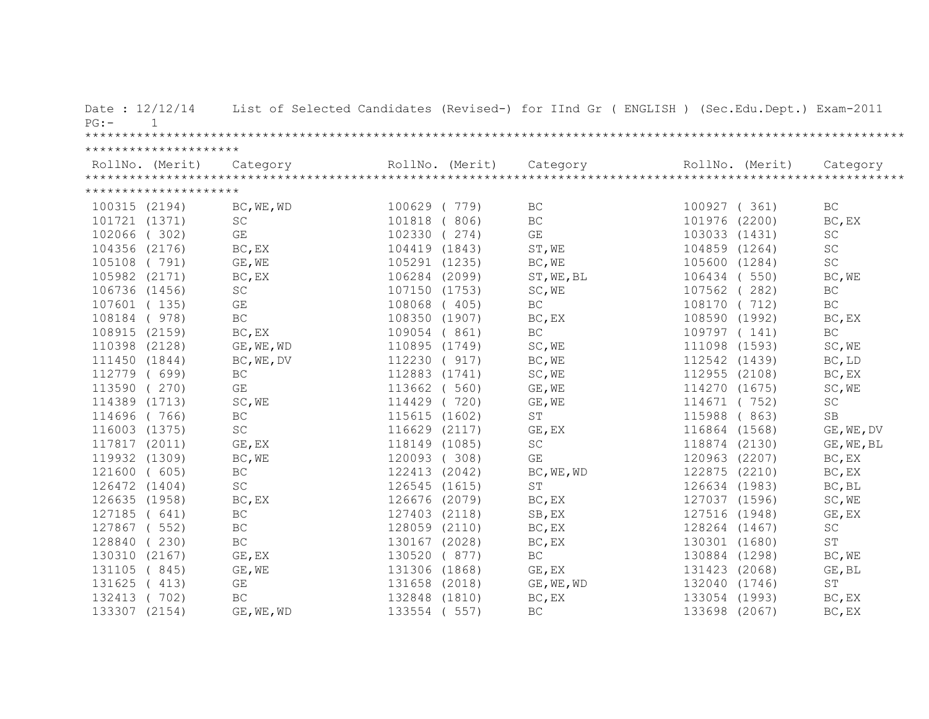| Date: 12/12/14<br>$PG: -$<br>$\mathbf{1}$ |                         |               |               | List of Selected Candidates (Revised-) for IInd Gr ( ENGLISH ) (Sec.Edu.Dept.) Exam-2011                                                                                                                                                                                                                                                                                                                                                                         |               |                             |
|-------------------------------------------|-------------------------|---------------|---------------|------------------------------------------------------------------------------------------------------------------------------------------------------------------------------------------------------------------------------------------------------------------------------------------------------------------------------------------------------------------------------------------------------------------------------------------------------------------|---------------|-----------------------------|
|                                           |                         |               |               |                                                                                                                                                                                                                                                                                                                                                                                                                                                                  |               |                             |
| *********************                     |                         |               |               |                                                                                                                                                                                                                                                                                                                                                                                                                                                                  |               |                             |
|                                           |                         |               |               | $\begin{minipage}{.45\textwidth} \begin{minipage}{0.5cm} \begin{minipage}{0.5cm} \begin{minipage}{0.5cm} \begin{minipage}{0.5cm} \begin{minipage}{0.5cm} \begin{minipage}{0.5cm} \begin{minipage}{0.5cm} \begin{minipage}{0.5cm} \begin{minipage}{0.5cm} \begin{minipage}{0.5cm} \begin{minipage}{0.5cm} \begin{minipage}{0.5cm} \begin{minipage}{0.5cm} \begin{minipage}{0.5cm} \begin{minipage}{0.5cm} \begin{minipage}{0.5cm} \begin{minipage}{0.5cm} \begin$ |               |                             |
| *********************                     |                         |               |               |                                                                                                                                                                                                                                                                                                                                                                                                                                                                  |               |                             |
| 100315 (2194)                             | BC, WE, WD              | 100629 (779)  |               | BC                                                                                                                                                                                                                                                                                                                                                                                                                                                               | 100927 (361)  | <b>BC</b>                   |
| 101721 (1371)                             | $\operatorname{SC}$     | 101818 ( 806) |               | BC                                                                                                                                                                                                                                                                                                                                                                                                                                                               | 101976 (2200) | BC, EX                      |
| 102066 (302)                              | GE                      |               | 102330 (274)  | $\mathbb{G}\mathcal{E}$                                                                                                                                                                                                                                                                                                                                                                                                                                          | 103033 (1431) | $\operatorname{SC}$         |
|                                           |                         |               |               |                                                                                                                                                                                                                                                                                                                                                                                                                                                                  |               |                             |
| 104356 (2176)                             | BC, EX                  |               | 104419 (1843) | ST, WE                                                                                                                                                                                                                                                                                                                                                                                                                                                           | 104859 (1264) | SC                          |
| 105108 (791)                              | GE, WE                  |               | 105291 (1235) | BC, WE                                                                                                                                                                                                                                                                                                                                                                                                                                                           | 105600 (1284) | SC                          |
| 105982 (2171)                             | BC, EX                  |               | 106284 (2099) | ST, WE, BL                                                                                                                                                                                                                                                                                                                                                                                                                                                       | 106434 (550)  | BC, WE                      |
| 106736 (1456)                             | $\operatorname{SC}$     |               | 107150 (1753) | SC, WE                                                                                                                                                                                                                                                                                                                                                                                                                                                           | 107562 (282)  | $\operatorname{BC}$         |
| 107601 (135)                              | GE                      |               | 108068 (405)  | BC                                                                                                                                                                                                                                                                                                                                                                                                                                                               | 108170 (712)  | $\operatorname{BC}$         |
| 108184 ( 978)                             | $\operatorname{BC}$     |               | 108350 (1907) | BC, EX                                                                                                                                                                                                                                                                                                                                                                                                                                                           | 108590 (1992) | BC, EX                      |
| 108915 (2159)                             | BC, EX                  |               | 109054 (861)  | BC                                                                                                                                                                                                                                                                                                                                                                                                                                                               | 109797 (141)  | $\operatorname{BC}$         |
| 110398 (2128)                             | GE, WE, WD              |               | 110895 (1749) | SC, WE                                                                                                                                                                                                                                                                                                                                                                                                                                                           | 111098 (1593) | SC, WE                      |
| 111450 (1844)                             | BC, WE, DV              |               | 112230 ( 917) | BC, WE                                                                                                                                                                                                                                                                                                                                                                                                                                                           | 112542 (1439) | BC, LD                      |
| 112779 ( 699)                             | $\operatorname{BC}$     | 112883 (1741) |               | SC, WE                                                                                                                                                                                                                                                                                                                                                                                                                                                           | 112955 (2108) | BC, EX                      |
| 113590 (270)                              | GE                      | 113662 ( 560) |               | GE, WE                                                                                                                                                                                                                                                                                                                                                                                                                                                           | 114270 (1675) | SC, WE                      |
| 114389 (1713)                             | SC, WE                  | 114429 (720)  |               | GE, WE                                                                                                                                                                                                                                                                                                                                                                                                                                                           | 114671 (752)  | SC                          |
| 114696 (766)                              | $\operatorname{BC}$     | 115615 (1602) |               | $\mbox{ST}$                                                                                                                                                                                                                                                                                                                                                                                                                                                      | 115988 (863)  | <b>SB</b>                   |
| 116003 (1375)                             | $\operatorname{SC}$     |               | 116629 (2117) | GE, EX                                                                                                                                                                                                                                                                                                                                                                                                                                                           | 116864 (1568) | GE, WE, DV                  |
| 117817 (2011)                             | GE, EX                  | 118149 (1085) |               | $\operatorname{SC}$                                                                                                                                                                                                                                                                                                                                                                                                                                              | 118874 (2130) | GE, WE, BL                  |
| 119932 (1309)                             | BC, WE                  | 120093 (308)  |               | GE                                                                                                                                                                                                                                                                                                                                                                                                                                                               | 120963 (2207) | BC, EX                      |
| 121600 ( 605)                             | BC                      | 122413 (2042) |               | BC, WE, WD                                                                                                                                                                                                                                                                                                                                                                                                                                                       | 122875 (2210) | BC, EX                      |
| 126472 (1404)                             | $\operatorname{SC}$     | 126545 (1615) |               | $\mbox{S}\,\mbox{T}$                                                                                                                                                                                                                                                                                                                                                                                                                                             | 126634 (1983) | BC, BL                      |
| 126635 (1958)                             | BC, EX                  | 126676 (2079) |               | BC, EX                                                                                                                                                                                                                                                                                                                                                                                                                                                           | 127037 (1596) | SC, WE                      |
| 127185 ( 641)                             | BC                      | 127403 (2118) |               | SB, EX                                                                                                                                                                                                                                                                                                                                                                                                                                                           | 127516 (1948) | GE, EX                      |
| 127867 ( 552)                             | $\operatorname{BC}$     | 128059 (2110) |               | BC, EX                                                                                                                                                                                                                                                                                                                                                                                                                                                           | 128264 (1467) | $\protect\operatorname{SC}$ |
| 128840 (230)                              | $\operatorname{BC}$     | 130167 (2028) |               | BC, EX                                                                                                                                                                                                                                                                                                                                                                                                                                                           | 130301 (1680) | $\mbox{ST}$                 |
| 130310 (2167)                             | GE, EX                  | 130520 ( 877) |               | BC                                                                                                                                                                                                                                                                                                                                                                                                                                                               | 130884 (1298) | BC, WE                      |
|                                           |                         |               |               |                                                                                                                                                                                                                                                                                                                                                                                                                                                                  |               |                             |
| 131105 (845)                              | GE, WE                  | 131306 (1868) |               | GE, EX                                                                                                                                                                                                                                                                                                                                                                                                                                                           | 131423 (2068) | GE, BL                      |
| 131625 (413)                              | $\mathbb{G}\mathcal{E}$ | 131658 (2018) |               | GE, WE, WD                                                                                                                                                                                                                                                                                                                                                                                                                                                       | 132040 (1746) | ST                          |
| 132413 (702)                              | BC                      | 132848 (1810) |               | BC, EX                                                                                                                                                                                                                                                                                                                                                                                                                                                           | 133054 (1993) | BC, EX                      |
| 133307 (2154)                             | GE, WE, WD              | 133554 ( 557) |               | <b>BC</b>                                                                                                                                                                                                                                                                                                                                                                                                                                                        | 133698 (2067) | BC, EX                      |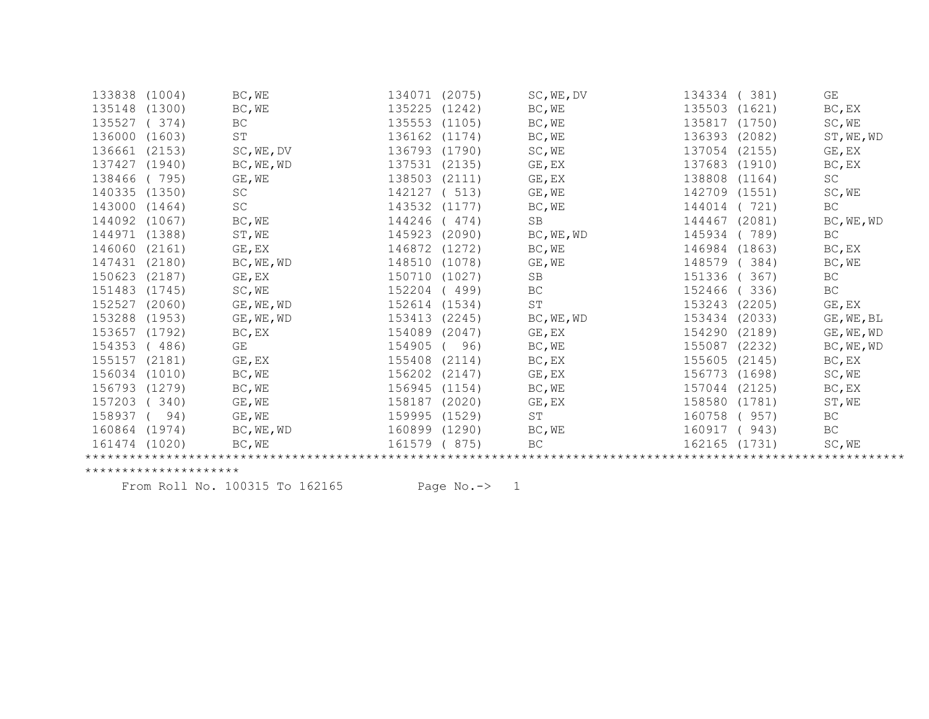| 133838        | (1004) | BC, WE              | 134071 | (2075) | SC, WE, DV           | 134334        | 381)   | GE          |
|---------------|--------|---------------------|--------|--------|----------------------|---------------|--------|-------------|
| 135148        | (1300) | BC, WE              | 135225 | (1242) | BC, WE               | 135503        | (1621) | BC, EX      |
| 135527        | (374)  | BC                  | 135553 | (1105) | BC, WE               | 135817        | (1750) | SC, WE      |
| 136000        | (1603) | ST                  | 136162 | (1174) | BC, WE               | 136393        | (2082) | ST, WE, WD  |
| 136661        | (2153) | SC, WE, DV          | 136793 | (1790) | SC, WE               | 137054        | (2155) | GE, EX      |
| 137427        | (1940) | BC, WE, WD          | 137531 | (2135) | GE, EX               | 137683 (1910) |        | $BC$ , $EX$ |
| 138466        | (795)  | GE, WE              | 138503 | (2111) | GE, EX               | 138808        | (1164) | SC          |
| 140335        | (1350) | $\operatorname{SC}$ | 142127 | 513)   | GE, WE               | 142709 (1551) |        | SC, WE      |
| 143000        | (1464) | $\operatorname{SC}$ | 143532 | (1177) | BC, WE               | 144014        | 721)   | BC          |
| 144092        | (1067) | BC, WE              | 144246 | (474)  | SB                   | 144467        | (2081) | BC, WE, WD  |
| 144971        | (1388) | ST, WE              | 145923 | (2090) | BC, WE, WD           | 145934        | 789)   | BC          |
| 146060        | (2161) | GE, EX              | 146872 | (1272) | BC, WE               | 146984 (1863) |        | BC, EX      |
| 147431        | (2180) | BC, WE, WD          | 148510 | (1078) | GE, WE               | 148579        | 384)   | BC, WE      |
| 150623        | (2187) | GE, EX              | 150710 | (1027) | SB                   | 151336        | 367)   | BC          |
| 151483        | (1745) | SC, WE              | 152204 | (499)  | ВC                   | 152466        | 336)   | ВC          |
| 152527        | (2060) | GE, WE, WD          | 152614 | (1534) | $\mbox{S}\,\mbox{T}$ | 153243        | (2205) | GE, EX      |
| 153288        | (1953) | GE, WE, WD          | 153413 | (2245) | BC, WE, WD           | 153434        | (2033) | GE, WE, BL  |
| 153657        | (1792) | BC, EX              | 154089 | (2047) | GE, EX               | 154290        | (2189) | GE, WE, WD  |
| 154353        | (486)  | GE                  | 154905 | 96)    | BC, WE               | 155087        | (2232) | BC, WE, WD  |
| 155157        | (2181) | GE, EX              | 155408 | (2114) | BC, EX               | 155605        | (2145) | BC, EX      |
| 156034        | (1010) | BC, WE              | 156202 | (2147) | GE, EX               | 156773        | (1698) | SC, WE      |
| 156793        | (1279) | BC, WE              | 156945 | (1154) | BC, WE               | 157044        | (2125) | $BC$ , $EX$ |
| 157203        | 340)   | GE, WE              | 158187 | (2020) | GE, EX               | 158580        | (1781) | ST, WE      |
| 158937        | 94)    | GE, WE              | 159995 | (1529) | $\mbox{ST}$          | 160758        | 957)   | ВC          |
| 160864 (1974) |        | BC, WE, WD          | 160899 | (1290) | BC, WE               | 160917        | 943)   | BC          |
| 161474 (1020) |        | BC, WE              | 161579 | 875)   | <b>BC</b>            | 162165        | (1731) | SC, WE      |
|               |        |                     |        |        |                      |               |        |             |

From Roll No. 100315 To 162165 Page No.-> 1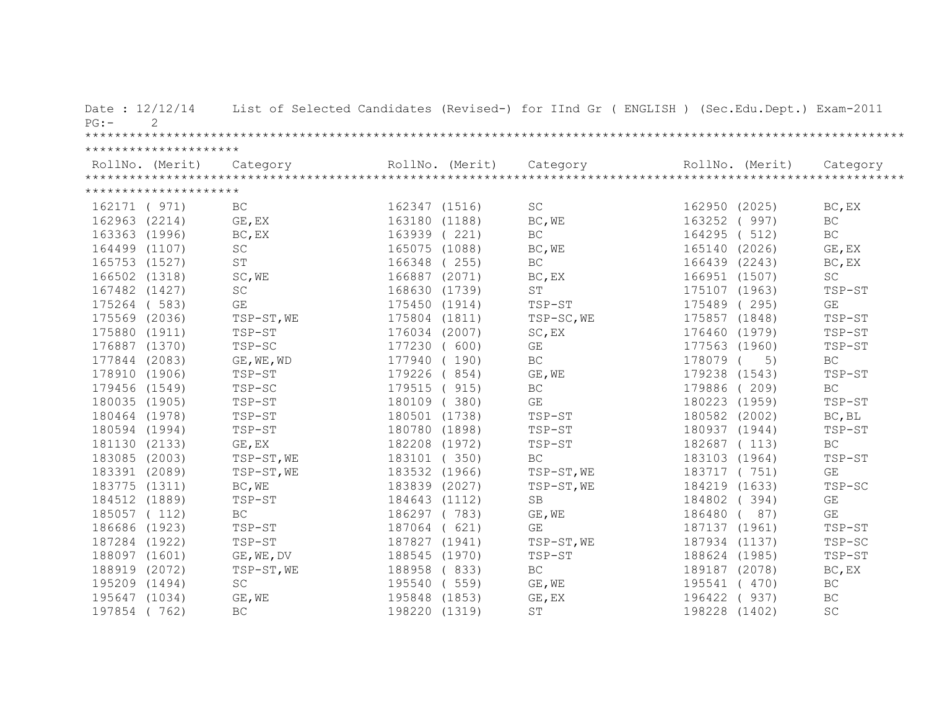| Date: 12/12/14<br>2<br>PG: |                     |               |                 | List of Selected Candidates (Revised-) for IInd Gr ( ENGLISH ) (Sec.Edu.Dept.) Exam-2011 |               |                 |                     |
|----------------------------|---------------------|---------------|-----------------|------------------------------------------------------------------------------------------|---------------|-----------------|---------------------|
|                            |                     |               |                 |                                                                                          |               |                 |                     |
| *********************      |                     |               |                 |                                                                                          |               |                 |                     |
| RollNo. (Merit)            | Category            |               | RollNo. (Merit) | Category                                                                                 |               | RollNo. (Merit) | Category            |
|                            |                     |               |                 |                                                                                          |               |                 |                     |
| *********************      |                     |               |                 |                                                                                          |               |                 |                     |
| 162171 ( 971)              | <b>BC</b>           | 162347 (1516) |                 | $\operatorname{SC}$                                                                      | 162950 (2025) |                 | BC, EX              |
| 162963 (2214)              | GE, EX              | 163180 (1188) |                 | BC, WE                                                                                   | 163252 (997)  |                 | BC                  |
| 163363 (1996)              | BC, EX              | 163939 (221)  |                 | BC                                                                                       | 164295 ( 512) |                 | BC                  |
| 164499 (1107)              | SC                  | 165075 (1088) |                 | BC, WE                                                                                   | 165140 (2026) |                 | GE, EX              |
| 165753 (1527)              | ST                  | 166348 (255)  |                 | $\operatorname{BC}$                                                                      | 166439 (2243) |                 | BC, EX              |
| 166502 (1318)              | SC, WE              | 166887 (2071) |                 | BC, EX                                                                                   | 166951 (1507) |                 | SC                  |
| 167482 (1427)              | SC                  | 168630 (1739) |                 | <b>ST</b>                                                                                | 175107 (1963) |                 | TSP-ST              |
| 175264 (583)               | GE                  | 175450 (1914) |                 | TSP-ST                                                                                   | 175489 (295)  |                 | GE                  |
| 175569 (2036)              | TSP-ST, WE          | 175804 (1811) |                 | TSP-SC, WE                                                                               | 175857 (1848) |                 | TSP-ST              |
| 175880 (1911)              | TSP-ST              | 176034 (2007) |                 | SC, EX                                                                                   | 176460 (1979) |                 | TSP-ST              |
| 176887 (1370)              | TSP-SC              | 177230 ( 600) |                 | GE                                                                                       | 177563 (1960) |                 | TSP-ST              |
| 177844 (2083)              | GE, WE, WD          | 177940 (190)  |                 | BC                                                                                       | 178079        | 5)              | $\operatorname{BC}$ |
| 178910 (1906)              | TSP-ST              | 179226 (854)  |                 | GE, WE                                                                                   | 179238 (1543) |                 | TSP-ST              |
| 179456 (1549)              | TSP-SC              | 179515 ( 915) |                 | BC                                                                                       | 179886 (209)  |                 | BC                  |
| 180035 (1905)              | TSP-ST              | 180109 (380)  |                 | $\mathbb{G}\mathcal{E}$                                                                  | 180223 (1959) |                 | TSP-ST              |
| 180464 (1978)              | TSP-ST              | 180501 (1738) |                 | TSP-ST                                                                                   | 180582 (2002) |                 | BC, BL              |
| 180594 (1994)              | TSP-ST              | 180780 (1898) |                 | TSP-ST                                                                                   | 180937 (1944) |                 | TSP-ST              |
| 181130 (2133)              | GE, EX              | 182208 (1972) |                 | TSP-ST                                                                                   | 182687 (113)  |                 | BC                  |
| 183085 (2003)              | $TSP-ST$ , WE       | 183101 (350)  |                 | BC                                                                                       | 183103 (1964) |                 | TSP-ST              |
| 183391 (2089)              | TSP-ST, WE          | 183532 (1966) |                 | TSP-ST, WE                                                                               | 183717 (751)  |                 | GE                  |
| 183775 (1311)              | BC, WE              | 183839 (2027) |                 | TSP-ST, WE                                                                               | 184219 (1633) |                 | TSP-SC              |
| 184512 (1889)              | TSP-ST              | 184643 (1112) |                 | SB                                                                                       | 184802 (394)  |                 | GE                  |
| 185057 (112)               | $\operatorname{BC}$ | 186297 (783)  |                 | GE, WE                                                                                   | 186480        | (87)            | GE                  |
| 186686 (1923)              | TSP-ST              | 187064 ( 621) |                 | $\mathbb{G}\mathcal{E}$                                                                  | 187137 (1961) |                 | TSP-ST              |
| 187284 (1922)              | TSP-ST              | 187827 (1941) |                 | TSP-ST, WE                                                                               | 187934 (1137) |                 | TSP-SC              |
| 188097 (1601)              | GE, WE, DV          | 188545 (1970) |                 | TSP-ST                                                                                   | 188624 (1985) |                 | TSP-ST              |
| 188919 (2072)              | TSP-ST, WE          | 188958 (833)  |                 | BC                                                                                       | 189187 (2078) |                 | BC, EX              |
| 195209 (1494)              | $\operatorname{SC}$ | 195540 ( 559) |                 | GE, WE                                                                                   | 195541 (470)  |                 | $\operatorname{BC}$ |
| 195647 (1034)              | GE, WE              | 195848 (1853) |                 | GE, EX                                                                                   | 196422 (937)  |                 | BC                  |
| 197854 (762)               | BC                  | 198220 (1319) |                 | ST                                                                                       | 198228 (1402) |                 | SC                  |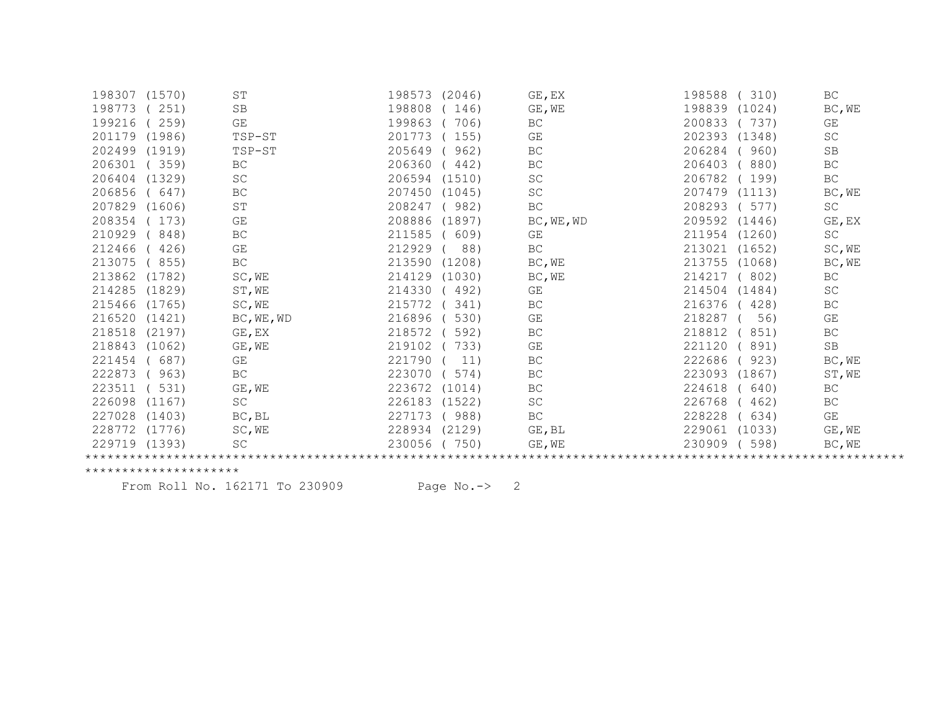| 198307        | (1570) | ST                  | 198573<br>(2046) | GE, EX              | 198588<br>310)   | BC                  |
|---------------|--------|---------------------|------------------|---------------------|------------------|---------------------|
| 198773        | 251)   | <b>SB</b>           | 198808<br>146)   | GE, WE              | 198839<br>(1024) | BC, WE              |
| 199216        | 259)   | GE                  | 199863<br>706)   | BC                  | 200833<br>737)   | GE                  |
| 201179        | (1986) | TSP-ST              | 201773<br>155)   | GE                  | 202393 (1348)    | SC                  |
| 202499        | (1919) | TSP-ST              | 205649<br>962)   | BC                  | 206284<br>960)   | SB                  |
| 206301        | 359)   | BC                  | 206360<br>442)   | BC                  | 206403<br>880)   | BC                  |
| 206404        | (1329) | $\operatorname{SC}$ | 206594<br>(1510) | $\operatorname{SC}$ | 206782<br>199)   | BC                  |
| 206856        | 647)   | BC                  | 207450<br>(1045) | $\operatorname{SC}$ | 207479<br>(1113) | BC, WE              |
| 207829        | (1606) | $\operatorname{ST}$ | 208247<br>982)   | BC                  | 208293<br>577)   | SC                  |
| 208354        | 173)   | GE                  | 208886<br>(1897) | BC, WE, WD          | 209592<br>(1446) | GE, EX              |
| 210929        | 848)   | $\operatorname{BC}$ | 211585<br>609)   | GE                  | 211954<br>(1260) | SC                  |
| 212466        | 426)   | GE                  | 212929<br>88)    | $\operatorname{BC}$ | 213021<br>(1652) | SC, WE              |
| 213075        | 855)   | $\operatorname{BC}$ | 213590<br>(1208) | BC, WE              | 213755<br>(1068) | BC, WE              |
| 213862        | (1782) | SC, WE              | 214129<br>(1030) | BC, WE              | 214217<br>802)   | BC                  |
| 214285        | (1829) | ST, WE              | 214330<br>492)   | GE                  | 214504<br>(1484) | <b>SC</b>           |
| 215466        | (1765) | SC, WE              | 215772<br>341)   | BC                  | 216376<br>428)   | BC                  |
| 216520        | (1421) | BC, WE, WD          | 216896<br>530)   | GE                  | 218287<br>56)    | GE                  |
| 218518        | (2197) | GE, EX              | 218572<br>592)   | BC                  | 218812<br>851)   | BC                  |
| 218843        | (1062) | GE, WE              | 219102<br>733)   | GE                  | 221120<br>891)   | $\operatorname{SB}$ |
| 221454        | 687)   | GE                  | 221790<br>11)    | BC                  | 222686<br>923)   | BC, WE              |
| 222873        | 963)   | $\operatorname{BC}$ | 223070<br>574)   | BC                  | 223093<br>(1867) | ST, WE              |
| 223511        | 531)   | GE, WE              | 223672<br>(1014) | BC                  | 224618<br>640)   | BC                  |
| 226098        | (1167) | $\operatorname{SC}$ | 226183<br>(1522) | $\operatorname{SC}$ | 226768<br>462)   | $\operatorname{BC}$ |
| 227028        | (1403) | BC, BL              | 227173<br>988)   | BC                  | 228228<br>634)   | GE                  |
| 228772        | (1776) | SC, WE              | (2129)<br>228934 | GE, BL              | 229061<br>(1033) | GE, WE              |
| 229719 (1393) |        | <b>SC</b>           | 230056<br>750)   | GE, WE              | 230909<br>598)   | BC, WE              |
|               |        |                     |                  |                     |                  |                     |

From Roll No. 162171 To 230909 Page No.-> 2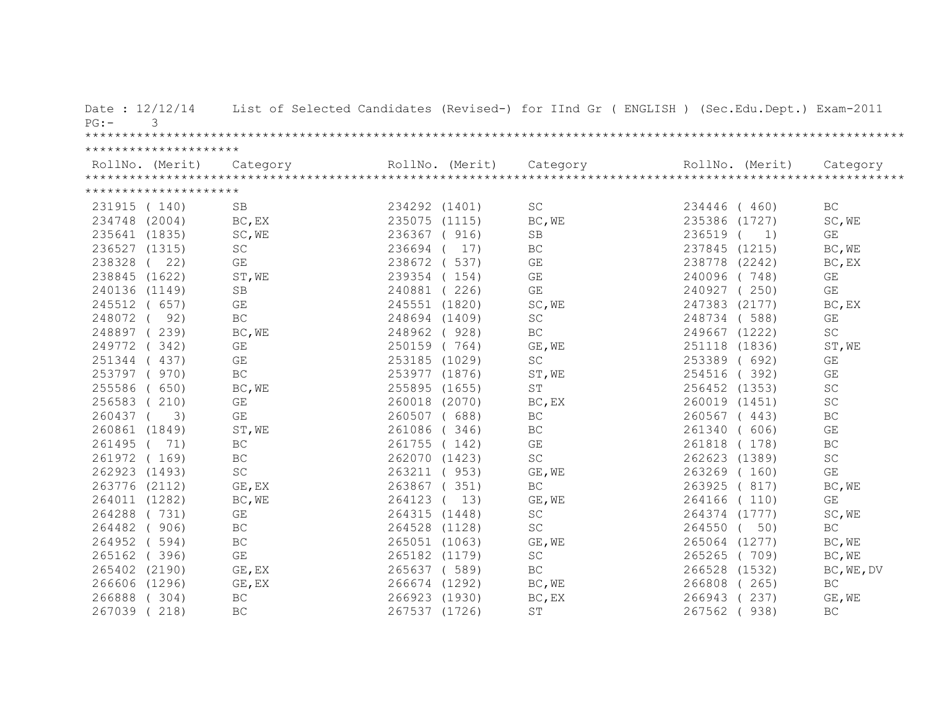| Date: 12/12/14<br>3<br>$PG: -$ |                         |               |               | List of Selected Candidates (Revised-) for IInd Gr ( ENGLISH ) (Sec.Edu.Dept.) Exam-2011                                                                                                                                                                                                                                                                                                                                                                         |                 |                         |
|--------------------------------|-------------------------|---------------|---------------|------------------------------------------------------------------------------------------------------------------------------------------------------------------------------------------------------------------------------------------------------------------------------------------------------------------------------------------------------------------------------------------------------------------------------------------------------------------|-----------------|-------------------------|
|                                |                         |               |               |                                                                                                                                                                                                                                                                                                                                                                                                                                                                  |                 |                         |
| *********************          |                         |               |               |                                                                                                                                                                                                                                                                                                                                                                                                                                                                  |                 |                         |
|                                |                         |               |               | $\begin{minipage}{.45\textwidth} \begin{minipage}{0.5cm} \begin{minipage}{0.5cm} \begin{minipage}{0.5cm} \begin{minipage}{0.5cm} \begin{minipage}{0.5cm} \begin{minipage}{0.5cm} \begin{minipage}{0.5cm} \begin{minipage}{0.5cm} \begin{minipage}{0.5cm} \begin{minipage}{0.5cm} \begin{minipage}{0.5cm} \begin{minipage}{0.5cm} \begin{minipage}{0.5cm} \begin{minipage}{0.5cm} \begin{minipage}{0.5cm} \begin{minipage}{0.5cm} \begin{minipage}{0.5cm} \begin$ |                 |                         |
|                                |                         |               |               |                                                                                                                                                                                                                                                                                                                                                                                                                                                                  |                 |                         |
| *********************          |                         |               |               |                                                                                                                                                                                                                                                                                                                                                                                                                                                                  |                 |                         |
| 231915 (140)                   | <b>SB</b>               | 234292 (1401) |               | SC                                                                                                                                                                                                                                                                                                                                                                                                                                                               | 234446 (460)    | BC                      |
| 234748 (2004)                  | BC, EX                  |               | 235075 (1115) | BC, WE                                                                                                                                                                                                                                                                                                                                                                                                                                                           | 235386 (1727)   | SC, WE                  |
| 235641 (1835)                  | SC, WE                  |               | 236367 ( 916) | SB                                                                                                                                                                                                                                                                                                                                                                                                                                                               | 236519<br>1)    | GE                      |
| 236527 (1315)                  | SC                      |               | 236694 ( 17)  | <b>BC</b>                                                                                                                                                                                                                                                                                                                                                                                                                                                        | 237845 (1215)   | BC, WE                  |
| 238328 ( 22)                   | GE                      |               | 238672 ( 537) | GE                                                                                                                                                                                                                                                                                                                                                                                                                                                               | 238778 (2242)   | BC, EX                  |
| 238845 (1622)                  | ST, WE                  |               | 239354 (154)  | $\mathbb{G}\mathcal{E}$                                                                                                                                                                                                                                                                                                                                                                                                                                          | 240096 (748)    | GE                      |
| 240136 (1149)                  | <b>SB</b>               |               | 240881 (226)  | GE                                                                                                                                                                                                                                                                                                                                                                                                                                                               | 240927 (250)    | GE                      |
| 245512 ( 657)                  | GE                      |               | 245551 (1820) | SC, WE                                                                                                                                                                                                                                                                                                                                                                                                                                                           | 247383 (2177)   | BC, EX                  |
| 248072 (<br>92)                | $\operatorname{BC}$     |               | 248694 (1409) | $\operatorname{SC}$                                                                                                                                                                                                                                                                                                                                                                                                                                              | 248734 (588)    | GE                      |
| 248897 (239)                   | BC, WE                  |               | 248962 (928)  | $\operatorname{BC}$                                                                                                                                                                                                                                                                                                                                                                                                                                              | 249667 (1222)   | SC                      |
| 249772 (342)                   | $\mathbb{G}\mathcal{E}$ |               | 250159 (764)  | GE, WE                                                                                                                                                                                                                                                                                                                                                                                                                                                           | 251118 (1836)   | ST, WE                  |
| 251344 (437)                   | GE                      |               | 253185 (1029) | $\operatorname{SC}$                                                                                                                                                                                                                                                                                                                                                                                                                                              | 253389 ( 692)   | $\mathbb{G}\mathcal{E}$ |
| 253797 (970)                   | BC                      |               | 253977 (1876) | ST, WE                                                                                                                                                                                                                                                                                                                                                                                                                                                           | 254516 (392)    | GE                      |
| 255586 ( 650)                  | BC, WE                  |               | 255895 (1655) | $\operatorname{ST}$                                                                                                                                                                                                                                                                                                                                                                                                                                              | 256452 (1353)   | SC                      |
| 256583 (210)                   | GE                      |               | 260018 (2070) | BC, EX                                                                                                                                                                                                                                                                                                                                                                                                                                                           | 260019 (1451)   | SC                      |
| 260437 (<br>3)                 | GE                      |               | 260507 (688)  | BC                                                                                                                                                                                                                                                                                                                                                                                                                                                               | 260567 (443)    | BC                      |
| 260861 (1849)                  | ST, WE                  |               | 261086 (346)  | BC                                                                                                                                                                                                                                                                                                                                                                                                                                                               | 261340 ( 606)   | GE                      |
| 261495 ( 71)                   | $\operatorname{BC}$     |               | 261755 (142)  | GE                                                                                                                                                                                                                                                                                                                                                                                                                                                               | 261818 (178)    | BC                      |
| 261972 (169)                   | $\operatorname{BC}$     |               | 262070 (1423) | $\operatorname{SC}$                                                                                                                                                                                                                                                                                                                                                                                                                                              | 262623 (1389)   | SC                      |
| 262923 (1493)                  | SC                      |               | 263211 ( 953) | GE, WE                                                                                                                                                                                                                                                                                                                                                                                                                                                           | 263269 (160)    | GE                      |
| 263776 (2112)                  | GE, EX                  |               | 263867 (351)  | $\operatorname{BC}$                                                                                                                                                                                                                                                                                                                                                                                                                                              | 263925 (817)    | BC, WE                  |
| 264011 (1282)                  | BC, WE                  |               | 264123 ( 13)  | GE, WE                                                                                                                                                                                                                                                                                                                                                                                                                                                           | 264166 (110)    | $\mathbb{G}\mathcal{E}$ |
| 264288 (731)                   | GE                      |               | 264315 (1448) | $\operatorname{SC}$                                                                                                                                                                                                                                                                                                                                                                                                                                              | 264374 (1777)   | SC, WE                  |
| 264482 (906)                   | $\operatorname{BC}$     |               | 264528 (1128) | SC                                                                                                                                                                                                                                                                                                                                                                                                                                                               | 264550 (<br>50) | BC                      |
| 264952 (594)                   | $\operatorname{BC}$     |               | 265051 (1063) | GE, WE                                                                                                                                                                                                                                                                                                                                                                                                                                                           | 265064 (1277)   | BC, WE                  |
| 265162 (396)                   | $\mathbb{G}\mathcal{E}$ |               | 265182 (1179) | $\operatorname{SC}$                                                                                                                                                                                                                                                                                                                                                                                                                                              | 265265 (709)    | BC, WE                  |
| 265402 (2190)                  | GE, EX                  |               | 265637 (589)  | BC                                                                                                                                                                                                                                                                                                                                                                                                                                                               | 266528 (1532)   | BC, WE, DV              |
| 266606 (1296)                  | GE, EX                  |               | 266674 (1292) | BC, WE                                                                                                                                                                                                                                                                                                                                                                                                                                                           | 266808<br>(265) | BC                      |
| 266888 (304)                   | $\operatorname{BC}$     |               | 266923 (1930) | BC, EX                                                                                                                                                                                                                                                                                                                                                                                                                                                           | 266943 (237)    | GE, WE                  |
| 267039 (218)                   | $\operatorname{BC}$     |               | 267537 (1726) | <b>ST</b>                                                                                                                                                                                                                                                                                                                                                                                                                                                        | 267562<br>938)  | BC                      |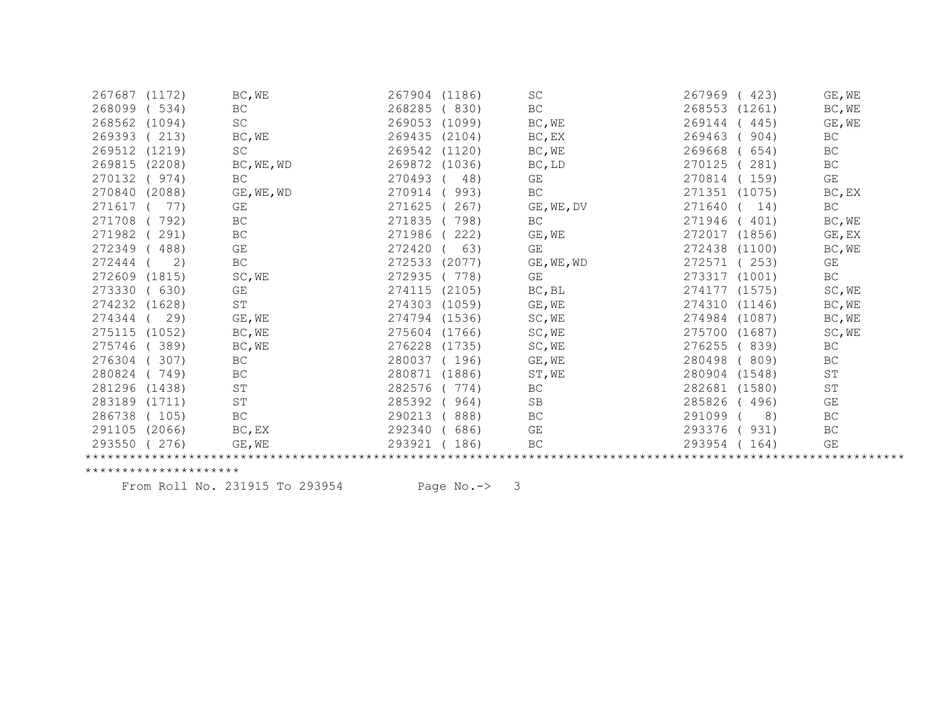| <b>BC</b><br>268285<br>(830)<br>BC<br>268099<br>534)<br>268553<br>(1261)<br>BC, WE<br>$\operatorname{SC}$<br>268562<br>(1094)<br>269053<br>(1099)<br>BC, WE<br>269144<br>445)<br>GE, WE<br>269393<br>213)<br>BC, WE<br>269435<br>(2104)<br>269463<br>904)<br>BC<br>$BC$ , $EX$<br>SC<br>269512<br>269542<br>(1120)<br>269668<br>BC<br>(1219)<br>BC, WE<br>654)<br>269815<br>(2208)<br>269872<br>(1036)<br>270125<br>BC<br>BC, WE, WD<br>BC, LD<br>281)<br>BC<br>GE<br>GE<br>270132<br>270493<br>48)<br>270814<br>(974)<br>(159)<br>BC<br>270840<br>(2088)<br>GE, WE, WD<br>270914<br>993)<br>271351 (1075)<br>BC, EX<br>271617<br>GE<br>271625<br>267)<br>271640<br><b>BC</b><br>77)<br>GE, WE, DV<br>14)<br>271708<br>792)<br>BC<br>271835<br>798)<br>271946<br>BC<br>401)<br>BC, WE<br>271986<br>271982<br>BC<br>222)<br>GE, WE<br>272017<br>GE, EX<br>291)<br>(1856)<br>272349<br>GE<br>272420<br>63)<br>GE<br>272438 (1100)<br>BC, WE<br>488)<br>272444<br>BC<br>272533<br>272571<br>253)<br>2)<br>(2077)<br>GE, WE, WD<br>GE<br>SC, WE<br>GE<br>BC<br>272609<br>(1815)<br>272935<br>778)<br>273317<br>(1001)<br>273330<br>BC, BL<br>SC, WE<br>630)<br>GE<br>274115<br>(2105)<br>274177 (1575)<br>ST<br>274303<br>274310<br>274232<br>(1628)<br>(1059)<br>GE, WE<br>(1146)<br>BC, WE<br>274344<br>29)<br>GE, WE<br>274794 (1536)<br>SC, WE<br>274984 (1087)<br>BC, WE<br>275604<br>275115<br>(1052)<br>BC, WE<br>(1766)<br>SC, WE<br>275700 (1687)<br>SC, WE<br>275746<br>389)<br>BC, WE<br>276228<br>(1735)<br>SC, WE<br>276255<br>(839)<br>BC<br><b>BC</b><br>280037<br>276304<br>307)<br>(196)<br>GE, WE<br>280498<br>(809)<br><b>BC</b><br>280824<br>BC<br>280871<br>(1886)<br>280904 (1548)<br>ST<br>749)<br>ST, WE<br>$\operatorname{ST}$<br>282576<br>$\mbox{S}\,\mbox{T}$<br>281296<br>(1438)<br>774)<br>BC<br>282681 (1580)<br>283189<br>$\operatorname{ST}$<br>285392<br>(1711)<br>964)<br>SB<br>285826<br>(496)<br>GE<br>BC<br>286738<br>290213<br>888)<br>BC<br>291099<br>BC<br>( 105)<br>8)<br>BC, EX<br>292340<br>GE<br>291105<br>(2066)<br>686)<br>293376<br>(931)<br>BC<br>293550<br>293921<br>(276)<br>186)<br>BC<br>293954<br>GE<br>GE, WE<br>164) | 267687 | (1172) | BC, WE | 267904<br>(1186) | <b>SC</b> | 267969<br>(423) | GE, WE |
|--------------------------------------------------------------------------------------------------------------------------------------------------------------------------------------------------------------------------------------------------------------------------------------------------------------------------------------------------------------------------------------------------------------------------------------------------------------------------------------------------------------------------------------------------------------------------------------------------------------------------------------------------------------------------------------------------------------------------------------------------------------------------------------------------------------------------------------------------------------------------------------------------------------------------------------------------------------------------------------------------------------------------------------------------------------------------------------------------------------------------------------------------------------------------------------------------------------------------------------------------------------------------------------------------------------------------------------------------------------------------------------------------------------------------------------------------------------------------------------------------------------------------------------------------------------------------------------------------------------------------------------------------------------------------------------------------------------------------------------------------------------------------------------------------------------------------------------------------------------------------------------------------------------------------------------------------------------------------------------------------------------------------------------------------------------------------------------------------------------------------------------------------------------------------|--------|--------|--------|------------------|-----------|-----------------|--------|
|                                                                                                                                                                                                                                                                                                                                                                                                                                                                                                                                                                                                                                                                                                                                                                                                                                                                                                                                                                                                                                                                                                                                                                                                                                                                                                                                                                                                                                                                                                                                                                                                                                                                                                                                                                                                                                                                                                                                                                                                                                                                                                                                                                          |        |        |        |                  |           |                 |        |
|                                                                                                                                                                                                                                                                                                                                                                                                                                                                                                                                                                                                                                                                                                                                                                                                                                                                                                                                                                                                                                                                                                                                                                                                                                                                                                                                                                                                                                                                                                                                                                                                                                                                                                                                                                                                                                                                                                                                                                                                                                                                                                                                                                          |        |        |        |                  |           |                 |        |
|                                                                                                                                                                                                                                                                                                                                                                                                                                                                                                                                                                                                                                                                                                                                                                                                                                                                                                                                                                                                                                                                                                                                                                                                                                                                                                                                                                                                                                                                                                                                                                                                                                                                                                                                                                                                                                                                                                                                                                                                                                                                                                                                                                          |        |        |        |                  |           |                 |        |
|                                                                                                                                                                                                                                                                                                                                                                                                                                                                                                                                                                                                                                                                                                                                                                                                                                                                                                                                                                                                                                                                                                                                                                                                                                                                                                                                                                                                                                                                                                                                                                                                                                                                                                                                                                                                                                                                                                                                                                                                                                                                                                                                                                          |        |        |        |                  |           |                 |        |
|                                                                                                                                                                                                                                                                                                                                                                                                                                                                                                                                                                                                                                                                                                                                                                                                                                                                                                                                                                                                                                                                                                                                                                                                                                                                                                                                                                                                                                                                                                                                                                                                                                                                                                                                                                                                                                                                                                                                                                                                                                                                                                                                                                          |        |        |        |                  |           |                 |        |
|                                                                                                                                                                                                                                                                                                                                                                                                                                                                                                                                                                                                                                                                                                                                                                                                                                                                                                                                                                                                                                                                                                                                                                                                                                                                                                                                                                                                                                                                                                                                                                                                                                                                                                                                                                                                                                                                                                                                                                                                                                                                                                                                                                          |        |        |        |                  |           |                 |        |
|                                                                                                                                                                                                                                                                                                                                                                                                                                                                                                                                                                                                                                                                                                                                                                                                                                                                                                                                                                                                                                                                                                                                                                                                                                                                                                                                                                                                                                                                                                                                                                                                                                                                                                                                                                                                                                                                                                                                                                                                                                                                                                                                                                          |        |        |        |                  |           |                 |        |
|                                                                                                                                                                                                                                                                                                                                                                                                                                                                                                                                                                                                                                                                                                                                                                                                                                                                                                                                                                                                                                                                                                                                                                                                                                                                                                                                                                                                                                                                                                                                                                                                                                                                                                                                                                                                                                                                                                                                                                                                                                                                                                                                                                          |        |        |        |                  |           |                 |        |
|                                                                                                                                                                                                                                                                                                                                                                                                                                                                                                                                                                                                                                                                                                                                                                                                                                                                                                                                                                                                                                                                                                                                                                                                                                                                                                                                                                                                                                                                                                                                                                                                                                                                                                                                                                                                                                                                                                                                                                                                                                                                                                                                                                          |        |        |        |                  |           |                 |        |
|                                                                                                                                                                                                                                                                                                                                                                                                                                                                                                                                                                                                                                                                                                                                                                                                                                                                                                                                                                                                                                                                                                                                                                                                                                                                                                                                                                                                                                                                                                                                                                                                                                                                                                                                                                                                                                                                                                                                                                                                                                                                                                                                                                          |        |        |        |                  |           |                 |        |
|                                                                                                                                                                                                                                                                                                                                                                                                                                                                                                                                                                                                                                                                                                                                                                                                                                                                                                                                                                                                                                                                                                                                                                                                                                                                                                                                                                                                                                                                                                                                                                                                                                                                                                                                                                                                                                                                                                                                                                                                                                                                                                                                                                          |        |        |        |                  |           |                 |        |
|                                                                                                                                                                                                                                                                                                                                                                                                                                                                                                                                                                                                                                                                                                                                                                                                                                                                                                                                                                                                                                                                                                                                                                                                                                                                                                                                                                                                                                                                                                                                                                                                                                                                                                                                                                                                                                                                                                                                                                                                                                                                                                                                                                          |        |        |        |                  |           |                 |        |
|                                                                                                                                                                                                                                                                                                                                                                                                                                                                                                                                                                                                                                                                                                                                                                                                                                                                                                                                                                                                                                                                                                                                                                                                                                                                                                                                                                                                                                                                                                                                                                                                                                                                                                                                                                                                                                                                                                                                                                                                                                                                                                                                                                          |        |        |        |                  |           |                 |        |
|                                                                                                                                                                                                                                                                                                                                                                                                                                                                                                                                                                                                                                                                                                                                                                                                                                                                                                                                                                                                                                                                                                                                                                                                                                                                                                                                                                                                                                                                                                                                                                                                                                                                                                                                                                                                                                                                                                                                                                                                                                                                                                                                                                          |        |        |        |                  |           |                 |        |
|                                                                                                                                                                                                                                                                                                                                                                                                                                                                                                                                                                                                                                                                                                                                                                                                                                                                                                                                                                                                                                                                                                                                                                                                                                                                                                                                                                                                                                                                                                                                                                                                                                                                                                                                                                                                                                                                                                                                                                                                                                                                                                                                                                          |        |        |        |                  |           |                 |        |
|                                                                                                                                                                                                                                                                                                                                                                                                                                                                                                                                                                                                                                                                                                                                                                                                                                                                                                                                                                                                                                                                                                                                                                                                                                                                                                                                                                                                                                                                                                                                                                                                                                                                                                                                                                                                                                                                                                                                                                                                                                                                                                                                                                          |        |        |        |                  |           |                 |        |
|                                                                                                                                                                                                                                                                                                                                                                                                                                                                                                                                                                                                                                                                                                                                                                                                                                                                                                                                                                                                                                                                                                                                                                                                                                                                                                                                                                                                                                                                                                                                                                                                                                                                                                                                                                                                                                                                                                                                                                                                                                                                                                                                                                          |        |        |        |                  |           |                 |        |
|                                                                                                                                                                                                                                                                                                                                                                                                                                                                                                                                                                                                                                                                                                                                                                                                                                                                                                                                                                                                                                                                                                                                                                                                                                                                                                                                                                                                                                                                                                                                                                                                                                                                                                                                                                                                                                                                                                                                                                                                                                                                                                                                                                          |        |        |        |                  |           |                 |        |
|                                                                                                                                                                                                                                                                                                                                                                                                                                                                                                                                                                                                                                                                                                                                                                                                                                                                                                                                                                                                                                                                                                                                                                                                                                                                                                                                                                                                                                                                                                                                                                                                                                                                                                                                                                                                                                                                                                                                                                                                                                                                                                                                                                          |        |        |        |                  |           |                 |        |
|                                                                                                                                                                                                                                                                                                                                                                                                                                                                                                                                                                                                                                                                                                                                                                                                                                                                                                                                                                                                                                                                                                                                                                                                                                                                                                                                                                                                                                                                                                                                                                                                                                                                                                                                                                                                                                                                                                                                                                                                                                                                                                                                                                          |        |        |        |                  |           |                 |        |
|                                                                                                                                                                                                                                                                                                                                                                                                                                                                                                                                                                                                                                                                                                                                                                                                                                                                                                                                                                                                                                                                                                                                                                                                                                                                                                                                                                                                                                                                                                                                                                                                                                                                                                                                                                                                                                                                                                                                                                                                                                                                                                                                                                          |        |        |        |                  |           |                 |        |
|                                                                                                                                                                                                                                                                                                                                                                                                                                                                                                                                                                                                                                                                                                                                                                                                                                                                                                                                                                                                                                                                                                                                                                                                                                                                                                                                                                                                                                                                                                                                                                                                                                                                                                                                                                                                                                                                                                                                                                                                                                                                                                                                                                          |        |        |        |                  |           |                 |        |
|                                                                                                                                                                                                                                                                                                                                                                                                                                                                                                                                                                                                                                                                                                                                                                                                                                                                                                                                                                                                                                                                                                                                                                                                                                                                                                                                                                                                                                                                                                                                                                                                                                                                                                                                                                                                                                                                                                                                                                                                                                                                                                                                                                          |        |        |        |                  |           |                 |        |
|                                                                                                                                                                                                                                                                                                                                                                                                                                                                                                                                                                                                                                                                                                                                                                                                                                                                                                                                                                                                                                                                                                                                                                                                                                                                                                                                                                                                                                                                                                                                                                                                                                                                                                                                                                                                                                                                                                                                                                                                                                                                                                                                                                          |        |        |        |                  |           |                 |        |
|                                                                                                                                                                                                                                                                                                                                                                                                                                                                                                                                                                                                                                                                                                                                                                                                                                                                                                                                                                                                                                                                                                                                                                                                                                                                                                                                                                                                                                                                                                                                                                                                                                                                                                                                                                                                                                                                                                                                                                                                                                                                                                                                                                          |        |        |        |                  |           |                 |        |
|                                                                                                                                                                                                                                                                                                                                                                                                                                                                                                                                                                                                                                                                                                                                                                                                                                                                                                                                                                                                                                                                                                                                                                                                                                                                                                                                                                                                                                                                                                                                                                                                                                                                                                                                                                                                                                                                                                                                                                                                                                                                                                                                                                          |        |        |        |                  |           |                 |        |

From Roll No. 231915 To 293954 Page No.-> 3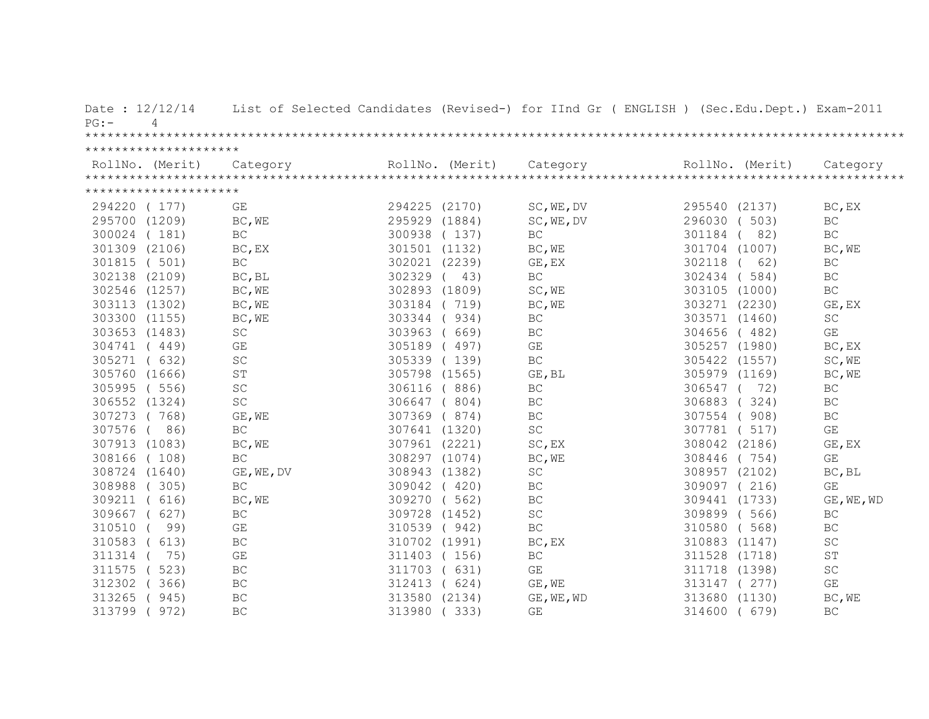| Date: 12/12/14<br>PG:<br>4 |                         |               |                 | List of Selected Candidates (Revised-) for IInd Gr ( ENGLISH ) (Sec.Edu.Dept.) Exam-2011                                                                                                                                                                                                                                                                                                                                                                         |               |                 |                         |
|----------------------------|-------------------------|---------------|-----------------|------------------------------------------------------------------------------------------------------------------------------------------------------------------------------------------------------------------------------------------------------------------------------------------------------------------------------------------------------------------------------------------------------------------------------------------------------------------|---------------|-----------------|-------------------------|
|                            |                         |               |                 |                                                                                                                                                                                                                                                                                                                                                                                                                                                                  |               |                 |                         |
| *********************      |                         |               | RollNo. (Merit) | $\begin{minipage}{.45\textwidth} \begin{minipage}{0.5cm} \begin{minipage}{0.5cm} \begin{minipage}{0.5cm} \begin{minipage}{0.5cm} \begin{minipage}{0.5cm} \begin{minipage}{0.5cm} \begin{minipage}{0.5cm} \begin{minipage}{0.5cm} \begin{minipage}{0.5cm} \begin{minipage}{0.5cm} \begin{minipage}{0.5cm} \begin{minipage}{0.5cm} \begin{minipage}{0.5cm} \begin{minipage}{0.5cm} \begin{minipage}{0.5cm} \begin{minipage}{0.5cm} \begin{minipage}{0.5cm} \begin$ |               | RollNo. (Merit) |                         |
| *********************      |                         |               |                 |                                                                                                                                                                                                                                                                                                                                                                                                                                                                  |               |                 |                         |
|                            |                         |               |                 |                                                                                                                                                                                                                                                                                                                                                                                                                                                                  |               |                 |                         |
| 294220 (177)               | GE                      | 294225 (2170) |                 | SC, WE, DV                                                                                                                                                                                                                                                                                                                                                                                                                                                       | 295540 (2137) |                 | BC, EX                  |
| 295700 (1209)              | BC, WE                  | 295929 (1884) |                 | SC, WE, DV                                                                                                                                                                                                                                                                                                                                                                                                                                                       | 296030 ( 503) |                 | $\operatorname{BC}$     |
| 300024 (181)               | BC                      | 300938 (137)  |                 | <b>BC</b>                                                                                                                                                                                                                                                                                                                                                                                                                                                        | 301184        | 82)             | BC                      |
| 301309 (2106)              | BC, EX                  | 301501 (1132) |                 | BC, WE                                                                                                                                                                                                                                                                                                                                                                                                                                                           | 301704 (1007) |                 | BC, WE                  |
| 301815 ( 501)              | $\operatorname{BC}$     | 302021 (2239) |                 | GE, EX                                                                                                                                                                                                                                                                                                                                                                                                                                                           | 302118        | 62)             | $\operatorname{BC}$     |
| 302138 (2109)              | BC, BL                  | 302329        | 43)             | $\operatorname{BC}$                                                                                                                                                                                                                                                                                                                                                                                                                                              | 302434        | (584)           | BC                      |
| 302546 (1257)              | BC, WE                  | 302893 (1809) |                 | SC, WE                                                                                                                                                                                                                                                                                                                                                                                                                                                           | 303105 (1000) |                 | $\operatorname{BC}$     |
| 303113 (1302)              | BC, WE                  | 303184 (719)  |                 | BC, WE                                                                                                                                                                                                                                                                                                                                                                                                                                                           | 303271 (2230) |                 | GE, EX                  |
| 303300 (1155)              | BC, WE                  | 303344        | 934)            | $\operatorname{BC}$                                                                                                                                                                                                                                                                                                                                                                                                                                              | 303571 (1460) |                 | $\operatorname{SC}$     |
| 303653 (1483)              | SC                      | 303963        | 669)            | BC                                                                                                                                                                                                                                                                                                                                                                                                                                                               | 304656 (482)  |                 | GE                      |
| 304741 (449)               | GE                      | 305189 (497)  |                 | GE                                                                                                                                                                                                                                                                                                                                                                                                                                                               | 305257 (1980) |                 | BC, EX                  |
| 305271 ( 632)              | $\operatorname{SC}$     |               | 305339 (139)    | $\operatorname{BC}$                                                                                                                                                                                                                                                                                                                                                                                                                                              | 305422 (1557) |                 | SC, WE                  |
| 305760 (1666)              | $\operatorname{ST}$     | 305798 (1565) |                 | GE, BL                                                                                                                                                                                                                                                                                                                                                                                                                                                           | 305979 (1169) |                 | BC, WE                  |
| 305995 (556)               | $\operatorname{SC}$     | 306116        | (886)           | BC                                                                                                                                                                                                                                                                                                                                                                                                                                                               | 306547        | 72)             | BC                      |
| 306552 (1324)              | $\operatorname{SC}$     | 306647        | (804)           | BC                                                                                                                                                                                                                                                                                                                                                                                                                                                               | 306883        | (324)           | BC                      |
| 307273 (768)               | GE, WE                  | 307369        | (874)           | BC                                                                                                                                                                                                                                                                                                                                                                                                                                                               | 307554 (908)  |                 | $\operatorname{BC}$     |
| 307576 (<br>86)            | $\operatorname{BC}$     |               | 307641 (1320)   | SC                                                                                                                                                                                                                                                                                                                                                                                                                                                               | 307781 ( 517) |                 | GE                      |
| 307913 (1083)              | BC, WE                  | 307961 (2221) |                 | SC, EX                                                                                                                                                                                                                                                                                                                                                                                                                                                           | 308042 (2186) |                 | GE, EX                  |
| 308166 (108)               | $\operatorname{BC}$     |               | 308297 (1074)   | BC, WE                                                                                                                                                                                                                                                                                                                                                                                                                                                           | 308446 (754)  |                 | GE                      |
| 308724 (1640)              | GE, WE, DV              | 308943 (1382) |                 | $\operatorname{SC}$                                                                                                                                                                                                                                                                                                                                                                                                                                              | 308957 (2102) |                 | BC, BL                  |
| 308988 (305)               | $\operatorname{BC}$     | 309042 (420)  |                 | BC                                                                                                                                                                                                                                                                                                                                                                                                                                                               | 309097 (216)  |                 | GE                      |
| 309211 ( 616)              | BC, WE                  | 309270 (562)  |                 | BC                                                                                                                                                                                                                                                                                                                                                                                                                                                               | 309441 (1733) |                 | GE, WE, WD              |
| 309667 ( 627)              | $\operatorname{BC}$     | 309728 (1452) |                 | $\operatorname{SC}$                                                                                                                                                                                                                                                                                                                                                                                                                                              | 309899 (566)  |                 | BC                      |
| 310510 (<br>99)            | $\mathbb{G}\mathcal{E}$ | 310539 (942)  |                 | $\operatorname{BC}$                                                                                                                                                                                                                                                                                                                                                                                                                                              | 310580 (568)  |                 | $\operatorname{BC}$     |
| 310583 ( 613)              | BC                      | 310702 (1991) |                 | BC, EX                                                                                                                                                                                                                                                                                                                                                                                                                                                           | 310883 (1147) |                 | $\operatorname{SC}$     |
| 311314<br>75)              | $\mathbb{G}\mathcal{E}$ | 311403 (156)  |                 | $\operatorname{BC}$                                                                                                                                                                                                                                                                                                                                                                                                                                              | 311528 (1718) |                 | $\mbox{S}\,\mbox{T}$    |
| 311575<br>(523)            | BC                      | 311703        | (631)           | $\mathbb{G}\mathcal{E}$                                                                                                                                                                                                                                                                                                                                                                                                                                          | 311718 (1398) |                 | $\operatorname{SC}$     |
| 312302<br>(366)            | BC                      | 312413        | (624)           | GE, WE                                                                                                                                                                                                                                                                                                                                                                                                                                                           | 313147 (277)  |                 | $\mathbb{G}\mathcal{E}$ |
| 313265<br>(945)            | BC                      | 313580 (2134) |                 | GE, WE, WD                                                                                                                                                                                                                                                                                                                                                                                                                                                       | 313680 (1130) |                 | BC, WE                  |
| 313799<br>972)             | BC                      | 313980        | (333)           | $\mathbb{G}\mathcal{E}$                                                                                                                                                                                                                                                                                                                                                                                                                                          | 314600        | (679)           | $\operatorname{BC}$     |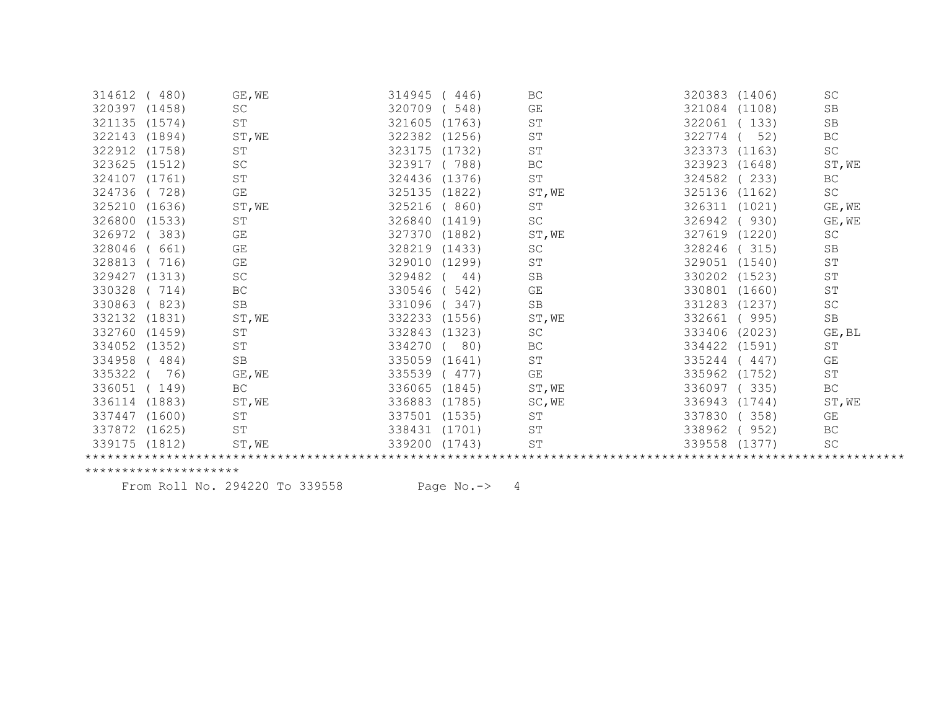| 314612        | (480)  | GE, WE              | 314945        | 446)   | BC                  | 320383 (1406) |        | SC                  |
|---------------|--------|---------------------|---------------|--------|---------------------|---------------|--------|---------------------|
| 320397        | (1458) | SC                  | 320709        | 548)   | GE                  | 321084        | (1108) | SB                  |
| 321135        | (1574) | ST                  | 321605        | (1763) | $\operatorname{ST}$ | 322061        | 133)   | SB                  |
| 322143        | (1894) | ST, WE              | 322382        | (1256) | SΤ                  | 322774        | 52)    | BC                  |
| 322912 (1758) |        | <b>ST</b>           | 323175        | (1732) | ST                  | 323373        | (1163) | SC                  |
| 323625        | (1512) | <b>SC</b>           | 323917        | 788)   | BC                  | 323923        | (1648) | ST, WE              |
| 324107        | (1761) | $\operatorname{ST}$ | 324436        | (1376) | ST                  | 324582        | 233)   | BC                  |
| 324736        | 728)   | GE                  | 325135        | (1822) | ST, WE              | 325136        | (1162) | $\operatorname{SC}$ |
| 325210        | (1636) | ST, WE              | 325216        | 860)   | ST                  | 326311        | (1021) | GE, WE              |
| 326800        | (1533) | $\operatorname{ST}$ | 326840        | (1419) | SC                  | 326942        | 930)   | GE, WE              |
| 326972        | 383)   | GE                  | 327370        | (1882) | ST, WE              | 327619 (1220) |        | SC                  |
| 328046        | 661)   | GE                  | 328219        | (1433) | SC                  | 328246        | (315)  | SB                  |
| 328813        | 716)   | GE                  | 329010        | (1299) | SΤ                  | 329051        | (1540) | $\operatorname{ST}$ |
| 329427        | (1313) | SC                  | 329482        | 44)    | SB                  | 330202 (1523) |        | ST                  |
| 330328        | 714)   | BC                  | 330546        | 542)   | GE                  | 330801        | (1660) | ST                  |
| 330863        | 823)   | SB                  | 331096        | 347)   | SB                  | 331283 (1237) |        | $\operatorname{SC}$ |
| 332132        | (1831) | ST, WE              | 332233        | (1556) | ST, WE              | 332661        | (995)  | SB                  |
| 332760        | (1459) | ST                  | 332843        | (1323) | <b>SC</b>           | 333406        | (2023) | GE, BL              |
| 334052        | (1352) | ST                  | 334270        | 80)    | ВC                  | 334422 (1591) |        | ST                  |
| 334958        | 484)   | <b>SB</b>           | 335059        | (1641) | ST                  | 335244        | 447)   | GE                  |
| 335322        | 76)    | GE, WE              | 335539        | (477)  | GE                  | 335962        | (1752) | $\operatorname{ST}$ |
| 336051        | 149)   | BC                  | 336065        | (1845) | ST, WE              | 336097        | 335)   | BC                  |
| 336114        | (1883) | ST, WE              | 336883        | (1785) | SC, WE              | 336943 (1744) |        | ST, WE              |
| 337447        | (1600) | ST                  | 337501 (1535) |        | ST                  | 337830        | 358)   | GE                  |
| 337872        | (1625) | ST                  | 338431        | (1701) | ST                  | 338962        | 952)   | BC                  |
| 339175 (1812) |        | ST, WE              | 339200        | (1743) | ST                  | 339558 (1377) |        | SC                  |
|               |        |                     |               |        |                     |               |        |                     |

From Roll No. 294220 To 339558 Page No.-> 4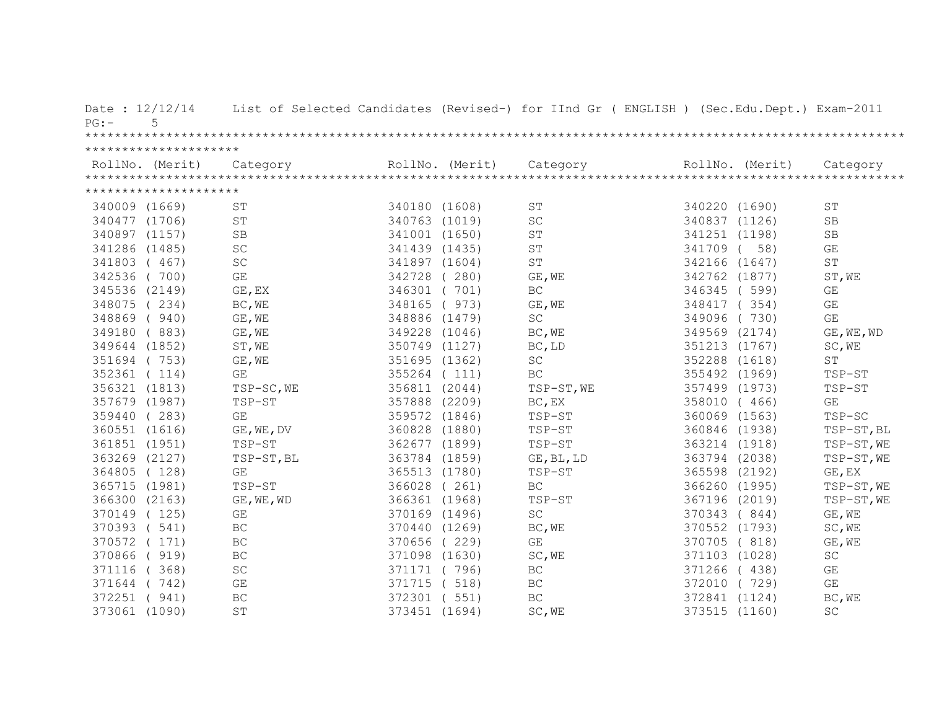| Date: 12/12/14<br>5<br>$PG:$ – |                         |               |                 | List of Selected Candidates (Revised-) for IInd Gr ( ENGLISH ) (Sec.Edu.Dept.) Exam-2011 |               |                 |                         |
|--------------------------------|-------------------------|---------------|-----------------|------------------------------------------------------------------------------------------|---------------|-----------------|-------------------------|
|                                |                         |               |                 |                                                                                          |               |                 |                         |
| *********************          |                         |               |                 |                                                                                          |               |                 |                         |
| RollNo. (Merit)                | Category                |               | RollNo. (Merit) | Category                                                                                 |               | RollNo. (Merit) | Category                |
|                                |                         |               |                 |                                                                                          |               |                 |                         |
| *********************          |                         |               |                 |                                                                                          |               |                 |                         |
| 340009 (1669)                  | ST                      | 340180 (1608) |                 | $\operatorname{ST}$                                                                      | 340220 (1690) |                 | ST                      |
| 340477 (1706)                  | $\operatorname{ST}$     | 340763 (1019) |                 | $\operatorname{SC}$                                                                      | 340837 (1126) |                 | SB                      |
| 340897 (1157)                  | <b>SB</b>               | 341001 (1650) |                 | ST                                                                                       | 341251 (1198) |                 | SB                      |
| 341286 (1485)                  | SC                      | 341439 (1435) |                 | ST                                                                                       | 341709        | 58)             | GE                      |
| 341803 (467)                   | $\operatorname{SC}$     | 341897 (1604) |                 | $\mbox{S}\mbox{T}$                                                                       | 342166 (1647) |                 | $\operatorname{ST}$     |
| 342536 (700)                   | $\mathbb{G}\mathcal{E}$ | 342728 (280)  |                 | GE, WE                                                                                   | 342762 (1877) |                 | ST, WE                  |
| 345536 (2149)                  | GE, EX                  | 346301 (701)  |                 | BC                                                                                       | 346345 (599)  |                 | GE                      |
| 348075 (234)                   | BC, WE                  | 348165        | (973)           | GE, WE                                                                                   | 348417 (354)  |                 | GE                      |
| 348869 (940)                   | GE, WE                  | 348886 (1479) |                 | $\operatorname{SC}$                                                                      | 349096        | (730)           | $\mathbb{G}\mathcal{E}$ |
| 349180 (883)                   | GE, WE                  | 349228 (1046) |                 | BC, WE                                                                                   | 349569 (2174) |                 | GE, WE, WD              |
| 349644 (1852)                  | ST, WE                  | 350749 (1127) |                 | BC, LD                                                                                   | 351213 (1767) |                 | SC, WE                  |
| 351694 (753)                   | GE, WE                  | 351695 (1362) |                 | $\operatorname{SC}$                                                                      | 352288 (1618) |                 | ST                      |
| 352361 (114)                   | GE                      | 355264 (111)  |                 | BC                                                                                       | 355492 (1969) |                 | TSP-ST                  |
| 356321 (1813)                  | TSP-SC, WE              | 356811 (2044) |                 | TSP-ST, WE                                                                               | 357499 (1973) |                 | TSP-ST                  |
| 357679 (1987)                  | TSP-ST                  | 357888 (2209) |                 | BC, EX                                                                                   | 358010 ( 466) |                 | GE                      |
| 359440 (283)                   | GE                      | 359572 (1846) |                 | TSP-ST                                                                                   | 360069 (1563) |                 | TSP-SC                  |
| 360551 (1616)                  | GE, WE, DV              | 360828 (1880) |                 | TSP-ST                                                                                   | 360846 (1938) |                 | $TSP-ST, BL$            |
| 361851 (1951)                  | TSP-ST                  | 362677 (1899) |                 | TSP-ST                                                                                   | 363214 (1918) |                 | TSP-ST, WE              |
| 363269 (2127)                  | TSP-ST, BL              | 363784 (1859) |                 | GE, BL, LD                                                                               | 363794 (2038) |                 | TSP-ST, WE              |
| 364805 (128)                   | GE                      | 365513 (1780) |                 | TSP-ST                                                                                   | 365598 (2192) |                 | GE, EX                  |
| 365715 (1981)                  | TSP-ST                  | 366028 (261)  |                 | BC                                                                                       | 366260 (1995) |                 | TSP-ST, WE              |
| 366300 (2163)                  | GE, WE, WD              | 366361 (1968) |                 | TSP-ST                                                                                   | 367196 (2019) |                 | TSP-ST, WE              |
| 370149 (125)                   | GE                      | 370169 (1496) |                 | $\operatorname{SC}$                                                                      | 370343 (844)  |                 | GE, WE                  |
| 370393 ( 541)                  | BC                      | 370440 (1269) |                 | BC, WE                                                                                   | 370552 (1793) |                 | SC, WE                  |
| 370572 (171)                   | BC                      | 370656 (229)  |                 | GE                                                                                       | 370705 (818)  |                 | GE, WE                  |
| 370866 ( 919)                  | BC                      | 371098 (1630) |                 | SC, WE                                                                                   | 371103 (1028) |                 | $\operatorname{SC}$     |
| 371116 (368)                   | SC                      | 371171 (796)  |                 | $\operatorname{BC}$                                                                      | 371266        | (438)           | $\mathbb{G}\mathcal{E}$ |
| 371644 (742)                   | GE                      | 371715 ( 518) |                 | BC                                                                                       | 372010 (729)  |                 | $\mathbb{G}\mathcal{E}$ |
| 372251 ( 941)                  | BC                      | 372301 ( 551) |                 | $\operatorname{BC}$                                                                      | 372841 (1124) |                 | BC, WE                  |
| 373061 (1090)                  | ST                      | 373451 (1694) |                 | SC, WE                                                                                   | 373515 (1160) |                 | SC                      |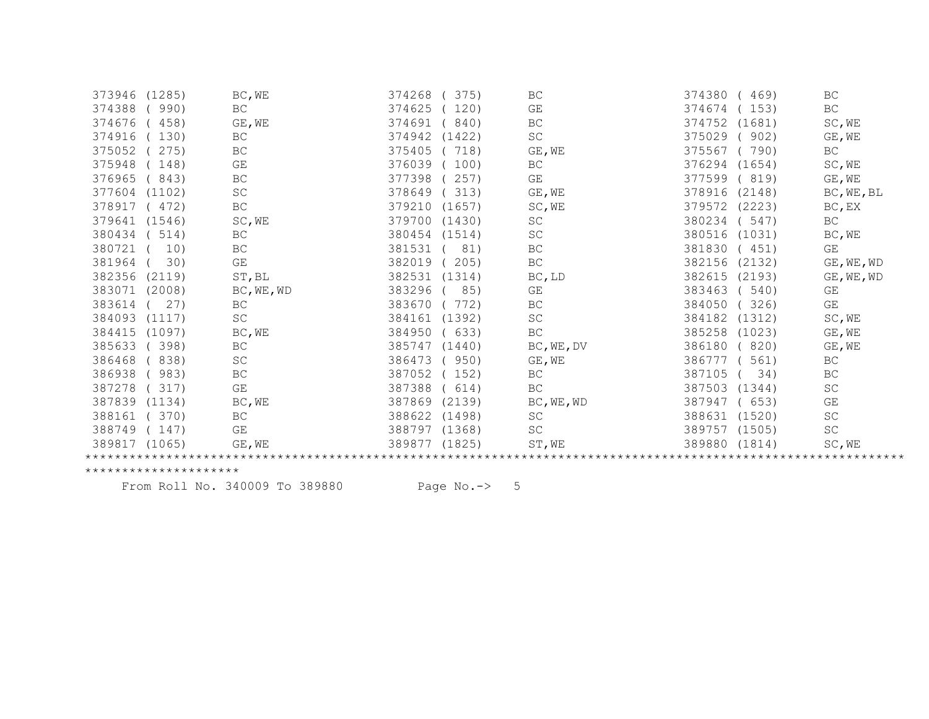| 373946<br>(1285) | BC, WE              | 374268<br>375)   | BC                  | 374380<br>469)   | BC                  |
|------------------|---------------------|------------------|---------------------|------------------|---------------------|
| 374388<br>990)   | <b>BC</b>           | 374625<br>120)   | GE                  | 374674<br>153)   | BC                  |
| 374676<br>458)   | GE, WE              | 374691<br>840)   | BC                  | 374752<br>(1681) | SC, WE              |
| 374916<br>130)   | $\operatorname{BC}$ | 374942<br>(1422) | SC                  | 375029<br>902)   | GE, WE              |
| 375052<br>275)   | $\operatorname{BC}$ | 375405<br>718)   | GE, WE              | 375567<br>790)   | BC                  |
| 375948<br>148)   | GE                  | 376039<br>100)   | BC                  | 376294<br>(1654) | SC, WE              |
| 376965<br>843)   | $\operatorname{BC}$ | 377398<br>257)   | GE                  | 377599<br>(819)  | GE, WE              |
| 377604<br>(1102) | $\operatorname{SC}$ | 378649<br>313)   | GE, WE              | 378916<br>(2148) | BC, WE, BL          |
| 378917<br>472)   | BC                  | 379210<br>(1657) | SC, WE              | (2223)<br>379572 | BC, EX              |
| 379641<br>(1546) | SC, WE              | 379700<br>(1430) | <b>SC</b>           | 380234<br>547)   | BC                  |
| 380434<br>514)   | BC                  | 380454<br>(1514) | $\operatorname{SC}$ | 380516<br>(1031) | BC, WE              |
| 380721<br>10)    | BC                  | 381531<br>81)    | BC                  | 381830<br>(451)  | GE                  |
| 381964<br>30)    | GE                  | 382019<br>205)   | $\operatorname{BC}$ | 382156<br>(2132) | GE, WE, WD          |
| 382356<br>(2119) | ST, BL              | 382531<br>(1314) | BC, LD              | 382615<br>(2193) | GE, WE, WD          |
| 383071<br>(2008) | BC, WE, WD          | 383296<br>85)    | GE                  | 383463<br>540)   | GE                  |
| 383614<br>27)    | BC                  | 383670<br>772)   | BC                  | 384050<br>326)   | GE                  |
| 384093<br>(1117) | SC                  | 384161<br>(1392) | $\operatorname{SC}$ | 384182<br>(1312) | SC, WE              |
| 384415<br>(1097) | BC, WE              | 384950<br>633)   | BC                  | 385258<br>(1023) | GE, WE              |
| 385633<br>398)   | BC                  | 385747<br>(1440) | BC, WE, DV          | 820)<br>386180   | GE, WE              |
| 386468<br>838)   | SC                  | 386473<br>950)   | GE, WE              | 561)<br>386777   | BC                  |
| 386938<br>983)   | BC                  | 387052<br>152)   | BC                  | 387105<br>34)    | BC                  |
| 387278<br>317)   | GE                  | 387388<br>614)   | BC                  | 387503<br>(1344) | SC                  |
| 387839<br>(1134) | BC, WE              | 387869<br>(2139) | BC, WE, WD          | 387947<br>653)   | GE                  |
| 388161<br>370)   | BC                  | 388622<br>(1498) | SC                  | 388631<br>(1520) | SC                  |
| 388749<br>147)   | GE                  | 388797<br>(1368) | SC                  | 389757 (1505)    | $\operatorname{SC}$ |
| 389817<br>(1065) | GE, WE              | 389877<br>(1825) | ST, WE              | 389880 (1814)    | SC, WE              |
|                  |                     |                  |                     |                  |                     |

From Roll No. 340009 To 389880 Page No.-> 5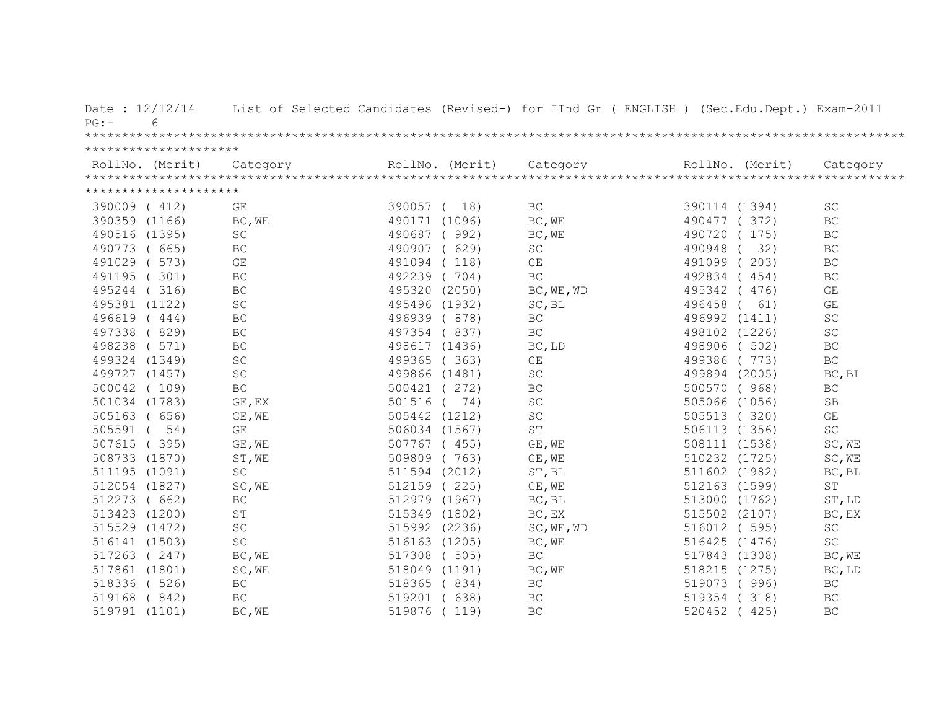| Date: 12/12/14<br>6<br>$PG:$ – |                     |               |                 | List of Selected Candidates (Revised-) for IInd Gr ( ENGLISH ) (Sec.Edu.Dept.) Exam-2011 |               |                 |                         |
|--------------------------------|---------------------|---------------|-----------------|------------------------------------------------------------------------------------------|---------------|-----------------|-------------------------|
|                                |                     |               |                 |                                                                                          |               |                 |                         |
| *********************          |                     |               |                 |                                                                                          |               |                 |                         |
|                                |                     |               | RollNo. (Merit) |                                                                                          |               | RollNo. (Merit) |                         |
|                                |                     |               |                 |                                                                                          |               |                 |                         |
| *********************          |                     |               |                 |                                                                                          |               |                 |                         |
| 390009 (412)                   | GE                  | 390057 ( 18)  |                 | BC                                                                                       | 390114 (1394) |                 | SC                      |
| 390359 (1166)                  | BC, WE              | 490171 (1096) |                 | BC, WE                                                                                   | 490477 (372)  |                 | $\operatorname{BC}$     |
| 490516 (1395)                  | SC                  | 490687        | (992)           | BC, WE                                                                                   | 490720        | (175)           | $\operatorname{BC}$     |
| 490773 ( 665)                  | BC                  | 490907        | (629)           | SC                                                                                       | 490948        | 32)             | $\operatorname{BC}$     |
| 491029 ( 573)                  | GE                  | 491094 (118)  |                 | GE                                                                                       | 491099        | 203)            | $\operatorname{BC}$     |
| (301)<br>491195                | BC                  | 492239 (704)  |                 | BC                                                                                       | 492834        | (454)           | $\operatorname{BC}$     |
| 495244<br>(316)                | BC                  | 495320 (2050) |                 | BC, WE, WD                                                                               | 495342        | 476)            | GE                      |
| 495381 (1122)                  | SC                  | 495496 (1932) |                 | SC, BL                                                                                   | 496458        | 61)             | $\mathbb{G}\mathcal{E}$ |
| 496619 (444)                   | BC                  | 496939 (878)  |                 | $\operatorname{BC}$                                                                      | 496992 (1411) |                 | SC                      |
| 497338 (829)                   | BC                  | 497354 (837)  |                 | <b>BC</b>                                                                                | 498102 (1226) |                 | SC                      |
| 498238 ( 571)                  | BC                  | 498617 (1436) |                 | BC, LD                                                                                   | 498906 (502)  |                 | BC                      |
| 499324 (1349)                  | $\operatorname{SC}$ | 499365 (363)  |                 | GE                                                                                       | 499386 (773)  |                 | $\operatorname{BC}$     |
| 499727 (1457)                  | SC                  | 499866 (1481) |                 | $\operatorname{SC}$                                                                      | 499894 (2005) |                 | BC, BL                  |
| 500042 (109)                   | BC                  | 500421 (272)  |                 | BC                                                                                       | 500570 (968)  |                 | BC                      |
| 501034 (1783)                  | GE, EX              | 501516        | (74)            | $\operatorname{SC}$                                                                      | 505066 (1056) |                 | <b>SB</b>               |
| 505163 ( 656)                  | GE, WE              | 505442 (1212) |                 | $\operatorname{SC}$                                                                      | 505513 (320)  |                 | $\mathbb{G}\mathcal{E}$ |
| 505591 (<br>54)                | GE                  | 506034 (1567) |                 | ST                                                                                       | 506113 (1356) |                 | $\operatorname{SC}$     |
| 507615 (395)                   | GE, WE              | 507767 (455)  |                 | GE, WE                                                                                   | 508111 (1538) |                 | SC, WE                  |
| 508733 (1870)                  | ST, WE              | 509809 (763)  |                 | GE, WE                                                                                   | 510232 (1725) |                 | SC, WE                  |
| 511195 (1091)                  | SC                  | 511594 (2012) |                 | ST, BL                                                                                   | 511602 (1982) |                 | BC, BL                  |
| 512054 (1827)                  | SC, WE              | 512159 (225)  |                 | GE, WE                                                                                   | 512163 (1599) |                 | $\operatorname{ST}$     |
| 512273 ( 662)                  | $\operatorname{BC}$ | 512979 (1967) |                 | BC, BL                                                                                   | 513000 (1762) |                 | ST, LD                  |
| 513423 (1200)                  | ST                  | 515349 (1802) |                 | BC, EX                                                                                   | 515502 (2107) |                 | BC, EX                  |
| 515529 (1472)                  | SC                  | 515992 (2236) |                 | SC, WE, WD                                                                               | 516012 ( 595) |                 | SC                      |
| 516141 (1503)                  | SC                  | 516163 (1205) |                 | BC, WE                                                                                   | 516425 (1476) |                 | $\operatorname{SC}$     |
| 517263 (247)                   | BC, WE              | 517308 ( 505) |                 | $\operatorname{BC}$                                                                      | 517843 (1308) |                 | BC, WE                  |
| 517861 (1801)                  | SC, WE              | 518049 (1191) |                 | BC, WE                                                                                   | 518215 (1275) |                 | BC, LD                  |
| 518336 ( 526)                  | $\operatorname{BC}$ | 518365 (834)  |                 | BC                                                                                       | 519073 (996)  |                 | $\operatorname{BC}$     |
| 519168 (842)                   | BC                  | 519201 ( 638) |                 | <b>BC</b>                                                                                | 519354        | (318)           | $\operatorname{BC}$     |
| 519791 (1101)                  | BC, WE              | 519876 (119)  |                 | BC                                                                                       | 520452        | 425)            | BC                      |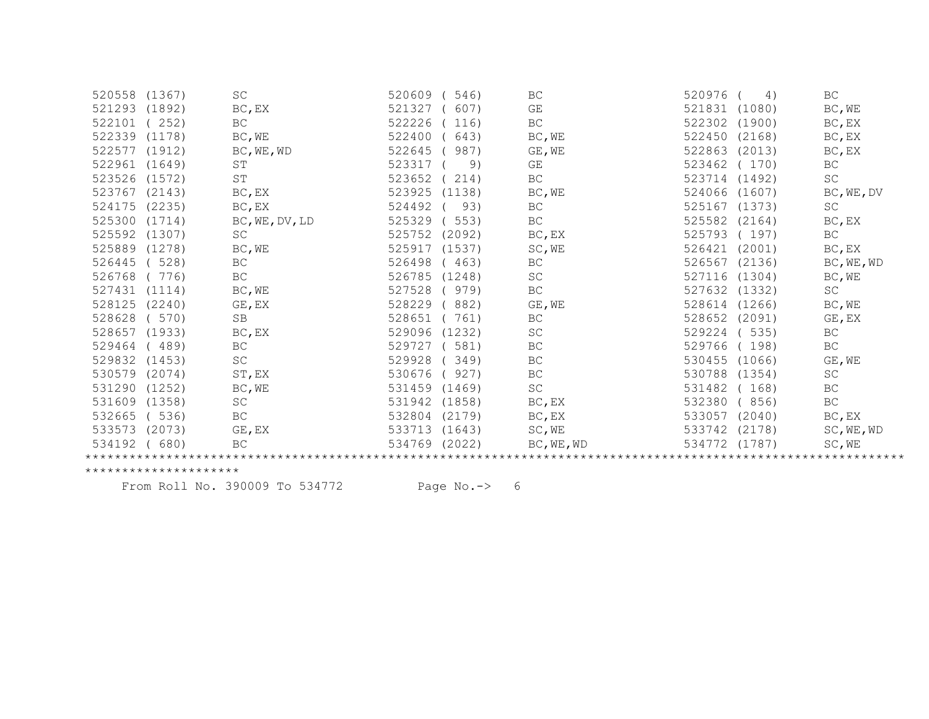| (1367)                                                                                                                                                                           | <b>SC</b>           | 520609<br>546)   | BC                  | 520976<br>4)     | BC          |
|----------------------------------------------------------------------------------------------------------------------------------------------------------------------------------|---------------------|------------------|---------------------|------------------|-------------|
| (1892)                                                                                                                                                                           | BC, EX              | 521327<br>607)   | GE                  | 521831<br>(1080) | BC, WE      |
| 252)                                                                                                                                                                             | BC                  | 522226<br>116)   | BC                  | 522302<br>(1900) | BC, EX      |
| (1178)                                                                                                                                                                           | BC, WE              | 522400<br>643)   | BC, WE              | 522450<br>(2168) | $BC$ , $EX$ |
| (1912)                                                                                                                                                                           | BC, WE, WD          | 522645<br>987)   | GE, WE              | 522863<br>(2013) | BC, EX      |
| (1649)                                                                                                                                                                           | ST                  | 523317<br>9)     | GE                  | 523462<br>(170)  | BC          |
| (1572)                                                                                                                                                                           | ST                  | 523652<br>214)   | BC                  | 523714<br>(1492) | SC          |
| (2143)                                                                                                                                                                           | BC, EX              | 523925<br>(1138) | BC, WE              | 524066<br>(1607) | BC, WE, DV  |
| (2235)                                                                                                                                                                           | BC, EX              | 524492<br>93)    | <b>BC</b>           | 525167 (1373)    | SC          |
| (1714)                                                                                                                                                                           | BC, WE, DV, LD      | 525329<br>553)   | BC                  | 525582<br>(2164) | BC, EX      |
| (1307)                                                                                                                                                                           | SC                  | 525752<br>(2092) | BC, EX              | 525793<br>(197)  | BC          |
| (1278)                                                                                                                                                                           | BC, WE              | 525917<br>(1537) | SC, WE              | (2001)<br>526421 | BC, EX      |
| 528)                                                                                                                                                                             | BC                  | 526498<br>463)   | BC                  | 526567<br>(2136) | BC, WE, WD  |
| 776)                                                                                                                                                                             | BC                  | 526785<br>(1248) | SC                  | (1304)<br>527116 | BC, WE      |
| (1114)                                                                                                                                                                           | BC, WE              | 527528<br>979)   | BC                  | 527632<br>(1332) | SC          |
| (2240)                                                                                                                                                                           | GE, EX              | 528229<br>882)   | GE, WE              | 528614<br>(1266) | BC, WE      |
| 570)                                                                                                                                                                             | SB                  | 528651<br>761)   | BC                  | 528652<br>(2091) | GE, EX      |
| (1933)                                                                                                                                                                           | BC, EX              | 529096<br>(1232) | SC                  | 535)<br>529224   | BC          |
| 489)                                                                                                                                                                             | BC                  | 529727<br>581)   | BC                  | 529766<br>198)   | BC          |
| (1453)                                                                                                                                                                           | $\operatorname{SC}$ | 529928<br>349)   | <b>BC</b>           | 530455<br>(1066) | GE, WE      |
| (2074)                                                                                                                                                                           | ST, EX              | 530676<br>927)   | <b>BC</b>           | 530788<br>(1354) | SC          |
| (1252)                                                                                                                                                                           | BC, WE              | 531459<br>(1469) | $\operatorname{SC}$ | 531482<br>168)   | BC          |
| (1358)                                                                                                                                                                           | SC                  | 531942<br>(1858) | BC, EX              | 532380<br>856)   | BC          |
| 536)                                                                                                                                                                             | BC                  | 532804<br>(2179) | BC, EX              | 533057<br>(2040) | BC, EX      |
| (2073)                                                                                                                                                                           | GE, EX              | 533713<br>(1643) | SC, WE              | 533742<br>(2178) | SC, WE, WD  |
| 680)                                                                                                                                                                             | BC                  | 534769<br>(2022) | BC, WE, WD          | 534772<br>(1787) | SC, WE      |
|                                                                                                                                                                                  |                     |                  |                     |                  |             |
| 521293<br>522339<br>522577<br>522961<br>523526<br>524175<br>525592<br>525889<br>526445<br>528125<br>528657<br>529832<br>530579<br>531290<br>531609<br>532665<br>533573<br>534192 | 520558              |                  |                     |                  |             |

From Roll No. 390009 To 534772 Page No.-> 6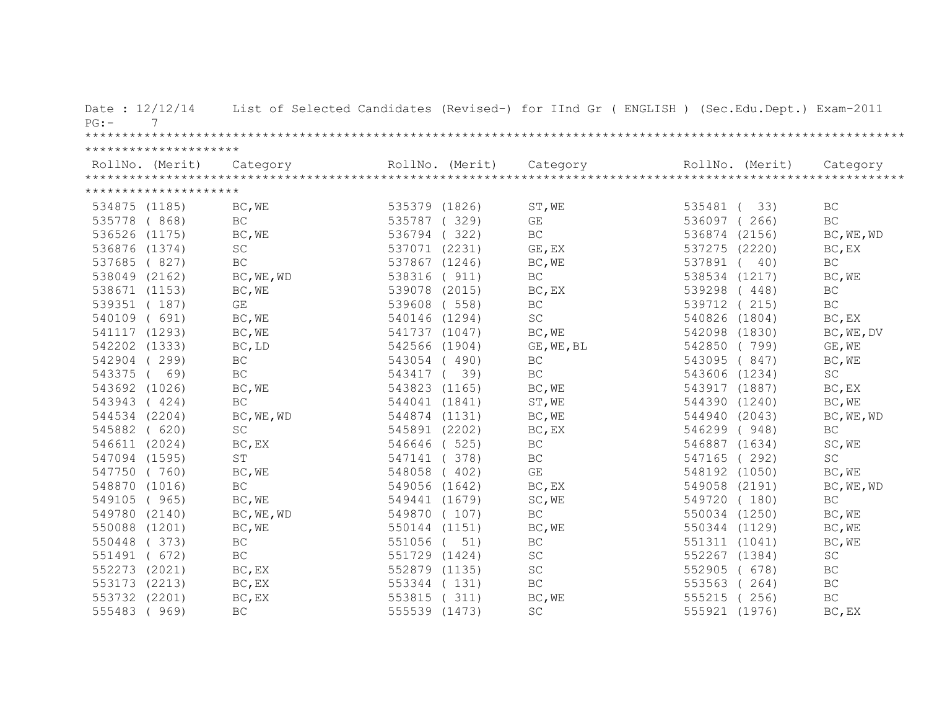| Date: 12/12/14<br>PG:<br>7 |                     |               |                 | List of Selected Candidates (Revised-) for IInd Gr ( ENGLISH ) (Sec.Edu.Dept.) Exam-2011 |                 |                     |
|----------------------------|---------------------|---------------|-----------------|------------------------------------------------------------------------------------------|-----------------|---------------------|
|                            |                     |               |                 |                                                                                          |                 |                     |
| *********************      |                     |               |                 |                                                                                          |                 |                     |
| RollNo. (Merit)            | Category            |               | RollNo. (Merit) | Category                                                                                 | RollNo. (Merit) | Category            |
|                            |                     |               |                 |                                                                                          |                 |                     |
| *********************      |                     |               |                 |                                                                                          |                 |                     |
| 534875 (1185)              | BC, WE              | 535379 (1826) |                 | ST, WE                                                                                   | 535481 (33)     | $\operatorname{BC}$ |
| 535778 (868)               | BC                  | 535787 (329)  |                 | GE                                                                                       | 536097 (266)    | BC                  |
| 536526 (1175)              | BC, WE              | 536794 (322)  |                 | BC                                                                                       | 536874 (2156)   | BC, WE, WD          |
| 536876 (1374)              | SC                  | 537071 (2231) |                 | GE, EX                                                                                   | 537275 (2220)   | BC, EX              |
| 537685 (827)               | BC                  | 537867 (1246) |                 | BC, WE                                                                                   | 537891<br>40)   | BC                  |
| 538049 (2162)              | BC, WE, WD          | 538316 ( 911) |                 | $\operatorname{BC}$                                                                      | 538534 (1217)   | BC, WE              |
| 538671 (1153)              | BC, WE              | 539078 (2015) |                 | BC, EX                                                                                   | 539298 (448)    | BC                  |
| 539351 (187)               | GE                  | 539608 (558)  |                 | $\operatorname{BC}$                                                                      | 539712 (215)    | $\operatorname{BC}$ |
| 540109 ( 691)              | BC, WE              | 540146 (1294) |                 | SC                                                                                       | 540826 (1804)   | BC, EX              |
| 541117 (1293)              | BC, WE              | 541737 (1047) |                 | BC, WE                                                                                   | 542098 (1830)   | BC, WE, DV          |
| 542202 (1333)              | BC, LD              | 542566 (1904) |                 | GE, WE, BL                                                                               | 542850 (799)    | GE, WE              |
| 542904 (299)               | BC                  | 543054 (490)  |                 | $\operatorname{BC}$                                                                      | 543095 (847)    | BC, WE              |
| 543375 (<br>69)            | BC                  | 543417 (      | 39)             | $\operatorname{BC}$                                                                      | 543606 (1234)   | SC                  |
| 543692 (1026)              | BC, WE              | 543823 (1165) |                 | BC, WE                                                                                   | 543917 (1887)   | BC, EX              |
| 543943 (424)               | BC                  | 544041 (1841) |                 | ST, WE                                                                                   | 544390 (1240)   | BC, WE              |
| 544534 (2204)              | BC, WE, WD          | 544874 (1131) |                 | BC, WE                                                                                   | 544940 (2043)   | BC, WE, WD          |
| 545882 ( 620)              | SC                  | 545891 (2202) |                 | BC, EX                                                                                   | 546299 (948)    | BC                  |
| 546611 (2024)              | BC, EX              | 546646 (525)  |                 | $\operatorname{BC}$                                                                      | 546887 (1634)   | SC, WE              |
| 547094 (1595)              | ST                  | 547141 (378)  |                 | $\operatorname{BC}$                                                                      | 547165 (292)    | SC                  |
| 547750 (760)               | BC, WE              | 548058 (402)  |                 | $\mathbb{G}\mathcal{E}$                                                                  | 548192 (1050)   | BC, WE              |
| 548870 (1016)              | BC                  | 549056 (1642) |                 | BC, EX                                                                                   | 549058 (2191)   | BC, WE, WD          |
| 549105 (965)               | BC, WE              | 549441 (1679) |                 | SC, WE                                                                                   | 549720 (180)    | BC                  |
| 549780 (2140)              | BC, WE, WD          | 549870 (107)  |                 | $\operatorname{BC}$                                                                      | 550034 (1250)   | BC, WE              |
| 550088 (1201)              | BC, WE              | 550144 (1151) |                 | BC, WE                                                                                   | 550344 (1129)   | BC, WE              |
| 550448 (373)               | $\operatorname{BC}$ | 551056 (      | 51)             | BC                                                                                       | 551311 (1041)   | BC, WE              |
| 551491 ( 672)              | BC                  | 551729 (1424) |                 | SC                                                                                       | 552267 (1384)   | SC                  |
| 552273 (2021)              | BC, EX              | 552879 (1135) |                 | $\operatorname{SC}$                                                                      | 552905 (678)    | $\operatorname{BC}$ |
| 553173 (2213)              | BC, EX              | 553344 (131)  |                 | $\operatorname{BC}$                                                                      | 553563<br>(264) | $\operatorname{BC}$ |
| 553732 (2201)              | BC, EX              | 553815 (311)  |                 | BC, WE                                                                                   | 555215<br>(256) | $\operatorname{BC}$ |
| 555483 (969)               | BC                  | 555539 (1473) |                 | <b>SC</b>                                                                                | 555921 (1976)   | BC, EX              |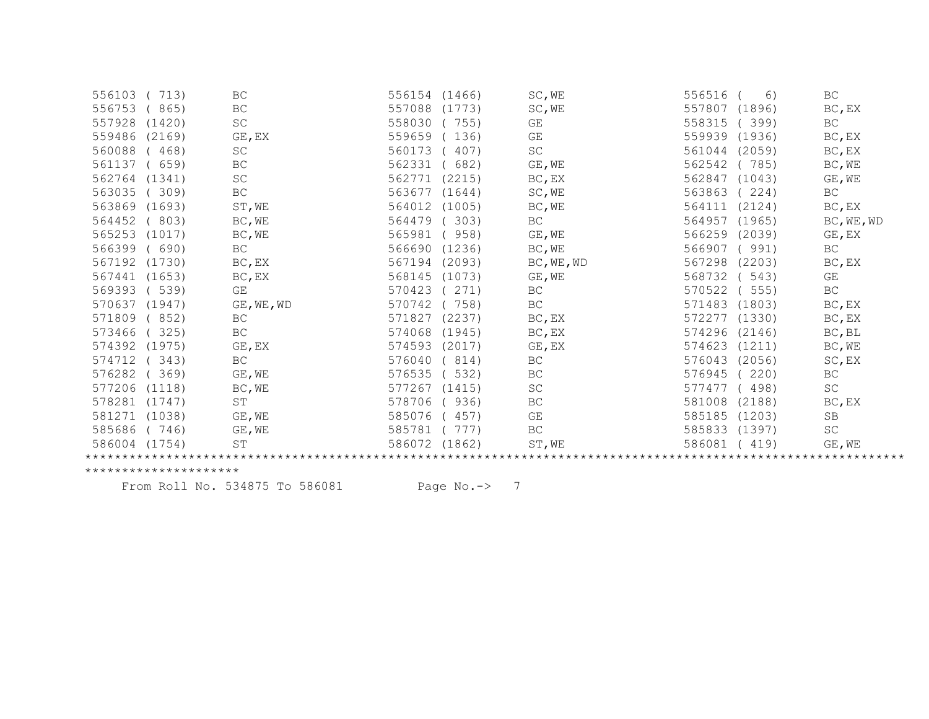| 713)             | BC                  | 556154<br>(1466) | SC, WE     | 556516<br>6)     | BC                  |
|------------------|---------------------|------------------|------------|------------------|---------------------|
| 865)             | $\operatorname{BC}$ | 557088<br>(1773) | SC, WE     | 557807<br>(1896) | BC, EX              |
| (1420)           | SC                  | 558030<br>755)   | GE         | 558315<br>399)   | BC                  |
| (2169)           | GE, EX              | 559659<br>136)   | GE         | 559939<br>(1936) | BC, EX              |
| 468)             | SC                  | 560173<br>407)   | SC         | 561044<br>(2059) | BC, EX              |
| 659)             | BC                  | 562331<br>682)   | GE, WE     | 562542<br>785)   | BC, WE              |
| (1341)           | SC                  | 562771<br>(2215) | BC, EX     | 562847<br>(1043) | GE, WE              |
| 309)             | $\operatorname{BC}$ | 563677<br>(1644) | SC, WE     | 563863<br>224)   | BC                  |
| (1693)           | ST, WE              | 564012<br>(1005) | BC, WE     | 564111<br>(2124) | BC, EX              |
| 803)             | BC, WE              | 564479<br>303)   | BC         | 564957<br>(1965) | BC, WE, WD          |
| (1017)           | BC, WE              | 565981<br>958)   | GE, WE     | 566259<br>(2039) | GE, EX              |
| 690)             | BC                  | 566690<br>(1236) | BC, WE     | 566907<br>(991)  | BC                  |
| (1730)           | BC, EX              | 567194<br>(2093) | BC, WE, WD | 567298<br>(2203) | BC, EX              |
| (1653)           | BC, EX              | 568145<br>(1073) | GE, WE     | 568732<br>543)   | GE                  |
| 539)             | GE                  | 570423<br>271)   | BC         | 570522<br>555)   | $\operatorname{BC}$ |
| (1947)           | GE, WE, WD          | 570742<br>758)   | BC         | 571483<br>(1803) | BC, EX              |
| 852)             | BC                  | 571827<br>(2237) | BC, EX     | 572277<br>(1330) | BC, EX              |
| 325)             | $\operatorname{BC}$ | 574068<br>(1945) | BC, EX     | 574296<br>(2146) | $BC$ , BL           |
| (1975)           | GE, EX              | 574593<br>(2017) | GE, EX     | 574623<br>(1211) | BC, WE              |
| 343)             | <b>BC</b>           | 576040<br>814)   | <b>BC</b>  | 576043<br>(2056) | SC, EX              |
| 369)             | GE, WE              | 576535<br>532)   | BC         | 576945<br>220)   | BC                  |
| (1118)           | BC, WE              | 577267<br>(1415) | SC         | 498)<br>577477   | SC                  |
| (1747)           | $\operatorname{ST}$ | 578706<br>936)   | BC         | 581008<br>(2188) | BC, EX              |
| (1038)           | GE, WE              | 585076<br>457)   | GE         | 585185<br>(1203) | SB                  |
| 746)             | GE, WE              | 585781<br>777)   | BC         | 585833<br>(1397) | SC                  |
| 586004<br>(1754) | ST                  | 586072<br>(1862) | ST, WE     | 586081<br>419)   | GE, WE              |
|                  |                     |                  |            |                  |                     |
|                  |                     |                  |            |                  |                     |

From Roll No. 534875 To 586081 Page No.-> 7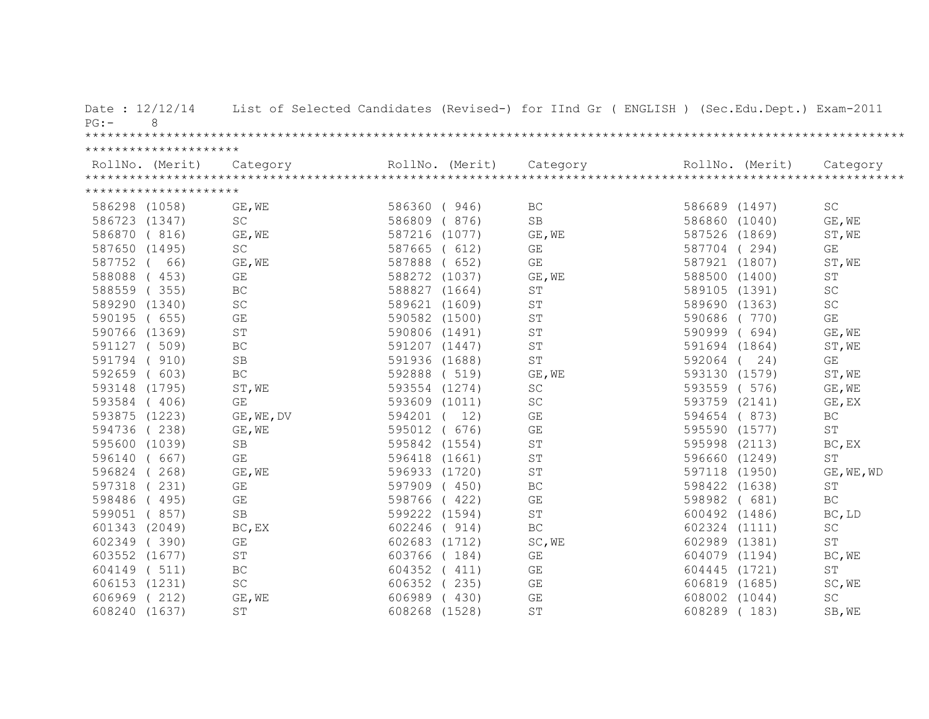| Date: 12/12/14<br>8<br>PG: |                     |               | List of Selected Candidates (Revised-) for IInd Gr ( ENGLISH ) (Sec.Edu.Dept.) Exam-2011                                                                                                                                                                                                                                                                                                                                                                         |               |                     |
|----------------------------|---------------------|---------------|------------------------------------------------------------------------------------------------------------------------------------------------------------------------------------------------------------------------------------------------------------------------------------------------------------------------------------------------------------------------------------------------------------------------------------------------------------------|---------------|---------------------|
|                            |                     |               |                                                                                                                                                                                                                                                                                                                                                                                                                                                                  |               |                     |
| *********************      |                     |               |                                                                                                                                                                                                                                                                                                                                                                                                                                                                  |               |                     |
|                            |                     |               | $\begin{minipage}{.45\textwidth} \begin{minipage}{0.5cm} \begin{minipage}{0.5cm} \begin{minipage}{0.5cm} \begin{minipage}{0.5cm} \begin{minipage}{0.5cm} \begin{minipage}{0.5cm} \begin{minipage}{0.5cm} \begin{minipage}{0.5cm} \begin{minipage}{0.5cm} \begin{minipage}{0.5cm} \begin{minipage}{0.5cm} \begin{minipage}{0.5cm} \begin{minipage}{0.5cm} \begin{minipage}{0.5cm} \begin{minipage}{0.5cm} \begin{minipage}{0.5cm} \begin{minipage}{0.5cm} \begin$ |               |                     |
|                            |                     |               |                                                                                                                                                                                                                                                                                                                                                                                                                                                                  |               |                     |
| *********************      |                     |               |                                                                                                                                                                                                                                                                                                                                                                                                                                                                  |               |                     |
| 586298 (1058)              | GE, WE              | 586360 (946)  | BC                                                                                                                                                                                                                                                                                                                                                                                                                                                               | 586689 (1497) | SC                  |
| 586723 (1347)              | <b>SC</b>           | 586809 (876)  | <b>SB</b>                                                                                                                                                                                                                                                                                                                                                                                                                                                        | 586860 (1040) | GE, WE              |
| 586870 (816)               | GE, WE              | 587216 (1077) | GE, WE                                                                                                                                                                                                                                                                                                                                                                                                                                                           | 587526 (1869) | ST, WE              |
| 587650 (1495)              | $\operatorname{SC}$ | 587665 ( 612) | GE                                                                                                                                                                                                                                                                                                                                                                                                                                                               | 587704 (294)  | GE                  |
| 587752 (<br>66)            | GE, WE              | 587888 ( 652) | GE                                                                                                                                                                                                                                                                                                                                                                                                                                                               | 587921 (1807) | ST, WE              |
| 588088 (453)               | GE                  | 588272 (1037) | GE, WE                                                                                                                                                                                                                                                                                                                                                                                                                                                           | 588500 (1400) | ST                  |
| 588559 (355)               | $\operatorname{BC}$ | 588827 (1664) | $\operatorname{ST}$                                                                                                                                                                                                                                                                                                                                                                                                                                              | 589105 (1391) | SC                  |
| 589290 (1340)              | SC                  | 589621 (1609) | ST                                                                                                                                                                                                                                                                                                                                                                                                                                                               | 589690 (1363) | SC                  |
| 590195 ( 655)              | GE                  | 590582 (1500) | $\operatorname{ST}$                                                                                                                                                                                                                                                                                                                                                                                                                                              | 590686 (770)  | GE                  |
| 590766 (1369)              | $\operatorname{ST}$ | 590806 (1491) | $\mbox{S}\,\mbox{T}$                                                                                                                                                                                                                                                                                                                                                                                                                                             | 590999 (694)  | GE, WE              |
| 591127 ( 509)              | $\operatorname{BC}$ | 591207 (1447) | $\operatorname{ST}$                                                                                                                                                                                                                                                                                                                                                                                                                                              | 591694 (1864) | ST, WE              |
| 591794 (910)               | SB                  | 591936 (1688) | ST                                                                                                                                                                                                                                                                                                                                                                                                                                                               | 592064 ( 24)  | GE                  |
| 592659 ( 603)              | $\operatorname{BC}$ | 592888 (519)  | GE, WE                                                                                                                                                                                                                                                                                                                                                                                                                                                           | 593130 (1579) | ST, WE              |
| 593148 (1795)              | ST, WE              | 593554 (1274) | $\operatorname{SC}$                                                                                                                                                                                                                                                                                                                                                                                                                                              | 593559 ( 576) | GE, WE              |
| 593584 (406)               | GE                  | 593609 (1011) | SC                                                                                                                                                                                                                                                                                                                                                                                                                                                               | 593759 (2141) | GE, EX              |
| 593875 (1223)              | GE, WE, DV          | 594201 ( 12)  | GE                                                                                                                                                                                                                                                                                                                                                                                                                                                               | 594654 (873)  | BC                  |
| 594736 (238)               | GE, WE              | 595012 ( 676) | GE                                                                                                                                                                                                                                                                                                                                                                                                                                                               | 595590 (1577) | $\operatorname{ST}$ |
| 595600 (1039)              | SB                  | 595842 (1554) | $\operatorname{ST}$                                                                                                                                                                                                                                                                                                                                                                                                                                              | 595998 (2113) | BC, EX              |
| 596140 ( 667)              | GE                  | 596418 (1661) | $\operatorname{ST}$                                                                                                                                                                                                                                                                                                                                                                                                                                              | 596660 (1249) | ST                  |
| 596824 (268)               | GE, WE              | 596933 (1720) | $\operatorname{ST}$                                                                                                                                                                                                                                                                                                                                                                                                                                              | 597118 (1950) | GE, WE, WD          |
| 597318 (231)               | GE                  | 597909 (450)  | $\operatorname{BC}$                                                                                                                                                                                                                                                                                                                                                                                                                                              | 598422 (1638) | $\mbox{ST}$         |
| 598486 (495)               | GE                  | 598766 (422)  | GE                                                                                                                                                                                                                                                                                                                                                                                                                                                               | 598982 ( 681) | $\operatorname{BC}$ |
| 599051 (857)               | SB                  | 599222 (1594) | $\mbox{S}\mbox{T}$                                                                                                                                                                                                                                                                                                                                                                                                                                               | 600492 (1486) | BC, LD              |
| 601343 (2049)              | BC, EX              | 602246 (914)  | $\operatorname{BC}$                                                                                                                                                                                                                                                                                                                                                                                                                                              | 602324 (1111) | SC                  |
| 602349 (390)               | GE                  | 602683 (1712) | SC, WE                                                                                                                                                                                                                                                                                                                                                                                                                                                           | 602989 (1381) | ST                  |
| 603552 (1677)              | <b>ST</b>           | 603766 (184)  | GE                                                                                                                                                                                                                                                                                                                                                                                                                                                               | 604079 (1194) | BC, WE              |
| 604149 (511)               | $\operatorname{BC}$ | 604352 (411)  | $\mathbb{G}\mathcal{E}$                                                                                                                                                                                                                                                                                                                                                                                                                                          | 604445 (1721) | $\mbox{ST}$         |
| 606153 (1231)              | SC                  | 606352 (235)  | $\mathbb{G}\mathcal{E}$                                                                                                                                                                                                                                                                                                                                                                                                                                          | 606819 (1685) | SC, WE              |
| 606969 (212)               | GE, WE              | 606989 (430)  | $\mathbb{G}\mathcal{E}$                                                                                                                                                                                                                                                                                                                                                                                                                                          | 608002 (1044) | SC                  |
| 608240 (1637)              | <b>ST</b>           | 608268 (1528) | ST                                                                                                                                                                                                                                                                                                                                                                                                                                                               | 608289 (183)  | SB, WE              |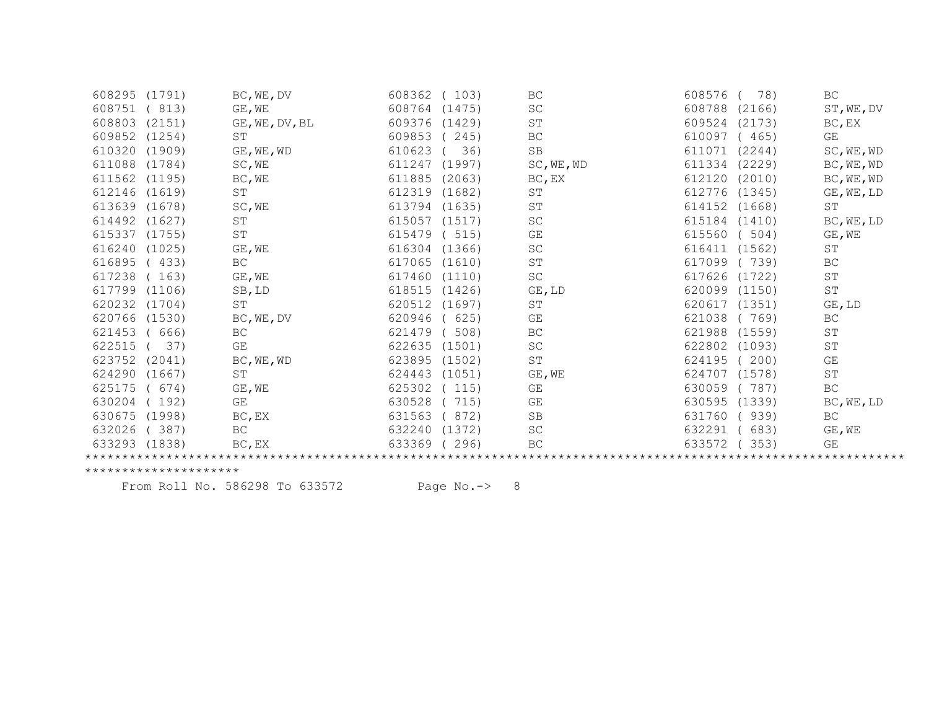| 608295 | (1791) | BC, WE, DV           | 608362           | (103)  | BC                  | 608576        | 78)    | BC                  |
|--------|--------|----------------------|------------------|--------|---------------------|---------------|--------|---------------------|
| 608751 | 813)   | GE, WE               | 608764           | (1475) | SC                  | 608788        | (2166) | ST, WE, DV          |
| 608803 | (2151) | GE, WE, DV, BL       | 609376           | (1429) | ST                  | 609524        | (2173) | BC, EX              |
| 609852 | (1254) | SΤ                   | 609853           | 245)   | ВC                  | 610097        | (465)  | GE                  |
| 610320 | (1909) | GE, WE, WD           | 610623           | 36)    | $\operatorname{SB}$ | 611071        | (2244) | SC, WE, WD          |
| 611088 | (1784) | SC, WE               | 611247           | (1997) | SC, WE, WD          | 611334        | (2229) | BC, WE, WD          |
| 611562 | (1195) | BC, WE               | 611885           | (2063) | BC, EX              | 612120 (2010) |        | BC, WE, WD          |
| 612146 | (1619) | SΤ                   | 612319           | (1682) | SΤ                  | 612776        | (1345) | GE, WE, LD          |
| 613639 | (1678) | SC, WE               | 613794 (1635)    |        | SΤ                  | 614152 (1668) |        | ST                  |
| 614492 | (1627) | $\mbox{S}\,\mbox{T}$ | 615057<br>(1517) |        | SC                  | 615184 (1410) |        | BC, WE, LD          |
| 615337 | (1755) | $\operatorname{ST}$  | 615479           | 515)   | GE                  | 615560        | (504)  | GE, WE              |
| 616240 | (1025) | GE, WE               | 616304           | (1366) | $\operatorname{SC}$ | 616411 (1562) |        | ST                  |
| 616895 | (433)  | BC                   | 617065           | (1610) | $\operatorname{ST}$ | 617099        | 739)   | BC                  |
| 617238 | 163)   | GE, WE               | 617460           | (1110) | $\operatorname{SC}$ | 617626        | (1722) | $\operatorname{ST}$ |
| 617799 | (1106) | SB, LD               | 618515           | (1426) | GE, LD              | 620099        | (1150) | $\operatorname{ST}$ |
| 620232 | (1704) | <b>ST</b>            | 620512           | (1697) | ST                  | 620617        | (1351) | GE, LD              |
| 620766 | (1530) | BC, WE, DV           | 620946           | 625)   | GE                  | 621038        | (769)  | $\operatorname{BC}$ |
| 621453 | 666)   | BC                   | 621479           | 508)   | ВC                  | 621988        | (1559) | SΤ                  |
| 622515 | 37)    | GE                   | 622635<br>(1501) |        | SC                  | 622802        | (1093) | $\operatorname{ST}$ |
| 623752 | (2041) | BC, WE, WD           | 623895           | (1502) | ST                  | 624195        | 200)   | GE                  |
| 624290 | (1667) | ST                   | 624443           | (1051) | GE, WE              | 624707        | (1578) | $\mbox{ST}$         |
| 625175 | 674)   | $GE$ , WE            | 625302           | (115)  | GE                  | 630059        | 787)   | BC                  |
| 630204 | 192)   | GE                   | 630528           | 715)   | GE                  | 630595 (1339) |        | BC, WE, LD          |
| 630675 | (1998) | BC, EX               | 631563           | 872)   | SB                  | 631760        | 939)   | BC                  |
| 632026 | 387)   | <b>BC</b>            | 632240           | (1372) | $\operatorname{SC}$ | 632291        | 683)   | GE, WE              |
| 633293 | (1838) | BC, EX               | 633369           | 296)   | BC                  | 633572        | 353)   | GE                  |
|        |        |                      |                  |        |                     |               |        |                     |

From Roll No. 586298 To 633572 Page No.-> 8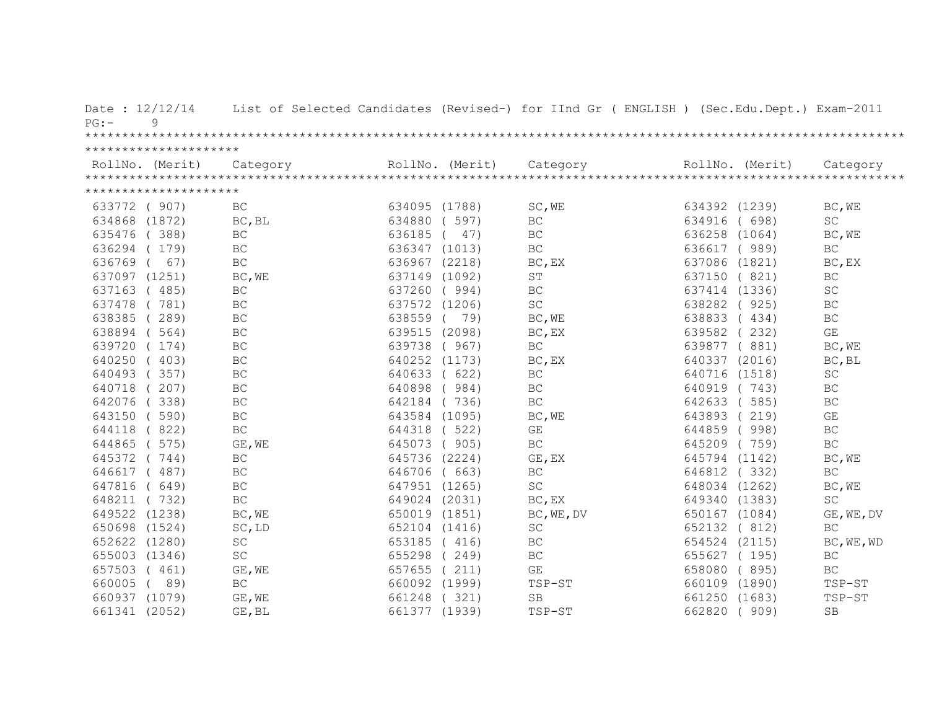| Date: 12/12/14<br>9<br>PG: |                     |               |                 | List of Selected Candidates (Revised-) for IInd Gr ( ENGLISH ) (Sec.Edu.Dept.) Exam-2011 |               |       |                         |
|----------------------------|---------------------|---------------|-----------------|------------------------------------------------------------------------------------------|---------------|-------|-------------------------|
|                            |                     |               |                 |                                                                                          |               |       |                         |
| *********************      |                     |               |                 |                                                                                          |               |       |                         |
|                            |                     |               | RollNo. (Merit) |                                                                                          |               |       |                         |
|                            |                     |               |                 |                                                                                          |               |       |                         |
| *********************      |                     |               |                 |                                                                                          |               |       |                         |
| 633772 ( 907)              | BC                  | 634095 (1788) |                 | SC, WE                                                                                   | 634392 (1239) |       | BC, WE                  |
| 634868 (1872)              | BC, BL              | 634880        | (597)           | $\operatorname{BC}$                                                                      | 634916 ( 698) |       | <b>SC</b>               |
| (388)<br>635476            | BC                  | 636185        | (47)            | <b>BC</b>                                                                                | 636258 (1064) |       | BC, WE                  |
| 636294 (179)               | BC                  | 636347 (1013) |                 | $\operatorname{BC}$                                                                      | 636617 ( 989) |       | BC                      |
| 636769<br>67)              | $\operatorname{BC}$ |               | 636967 (2218)   | BC, EX                                                                                   | 637086 (1821) |       | BC, EX                  |
| 637097 (1251)              | BC, WE              | 637149 (1092) |                 | $\operatorname{ST}$                                                                      | 637150 (821)  |       | BC                      |
| 637163 (485)               | $\operatorname{BC}$ |               | 637260 (994)    | BC                                                                                       | 637414 (1336) |       | SC                      |
| 637478 (781)               | BC                  |               | 637572 (1206)   | SC                                                                                       | 638282 (925)  |       | $\operatorname{BC}$     |
| 638385 (289)               | BC                  | 638559        | 79)             | BC, WE                                                                                   | 638833 (434)  |       | $\operatorname{BC}$     |
| 638894 (564)               | BC                  |               | 639515 (2098)   | BC, EX                                                                                   | 639582 (232)  |       | $\mathbb{G}\mathcal{E}$ |
| 639720 (174)               | BC                  | 639738        | (967)           | <b>BC</b>                                                                                | 639877 (881)  |       | BC, WE                  |
| 640250 (403)               | BC                  |               | 640252 (1173)   | BC, EX                                                                                   | 640337 (2016) |       | BC, BL                  |
| 640493 (357)               | BC                  | 640633 (622)  |                 | BC                                                                                       | 640716 (1518) |       | $\operatorname{SC}$     |
| 640718 (207)               | BC                  | 640898        | (984)           | BC                                                                                       | 640919 (743)  |       | BC                      |
| 642076 (338)               | $\operatorname{BC}$ |               | 642184 (736)    | BC                                                                                       | 642633        | (585) | $\operatorname{BC}$     |
| 643150 (590)               | $\operatorname{BC}$ | 643584 (1095) |                 | BC, WE                                                                                   | 643893        | (219) | GE                      |
| (822)<br>644118            | $\operatorname{BC}$ | 644318        | (522)           | GE                                                                                       | 644859 (998)  |       | BC                      |
| 644865 ( 575)              | GE, WE              | 645073 (905)  |                 | BC                                                                                       | 645209 (759)  |       | BC                      |
| 645372 (744)               | $\operatorname{BC}$ | 645736 (2224) |                 | GE, EX                                                                                   | 645794 (1142) |       | BC, WE                  |
| 646617 (487)               | $\operatorname{BC}$ | 646706 ( 663) |                 | $\operatorname{BC}$                                                                      | 646812 (332)  |       | BC                      |
| 647816 ( 649)              | $\operatorname{BC}$ | 647951 (1265) |                 | SC                                                                                       | 648034 (1262) |       | BC, WE                  |
| 648211 (732)               | $\operatorname{BC}$ | 649024 (2031) |                 | BC, EX                                                                                   | 649340 (1383) |       | SC                      |
| 649522 (1238)              | BC, WE              | 650019 (1851) |                 | BC, WE, DV                                                                               | 650167 (1084) |       | GE, WE, DV              |
| 650698 (1524)              | SC, LD              | 652104 (1416) |                 | $\operatorname{SC}$                                                                      | 652132 (812)  |       | BC                      |
| 652622 (1280)              | SC                  | 653185 (416)  |                 | BC                                                                                       | 654524 (2115) |       | BC, WE, WD              |
| 655003 (1346)              | SC                  | 655298        | 249)            | BC                                                                                       | 655627 (195)  |       | $\operatorname{BC}$     |
| 657503 (461)               | GE, WE              | 657655 (211)  |                 | GE                                                                                       | 658080 (895)  |       | $\operatorname{BC}$     |
| 660005 (<br>89)            | <b>BC</b>           | 660092 (1999) |                 | TSP-ST                                                                                   | 660109 (1890) |       | TSP-ST                  |
| 660937 (1079)              | GE, WE              | 661248        | (321)           | <b>SB</b>                                                                                | 661250 (1683) |       | TSP-ST                  |
| 661341 (2052)              | GE, BL              | 661377 (1939) |                 | TSP-ST                                                                                   | 662820        | (909) | <b>SB</b>               |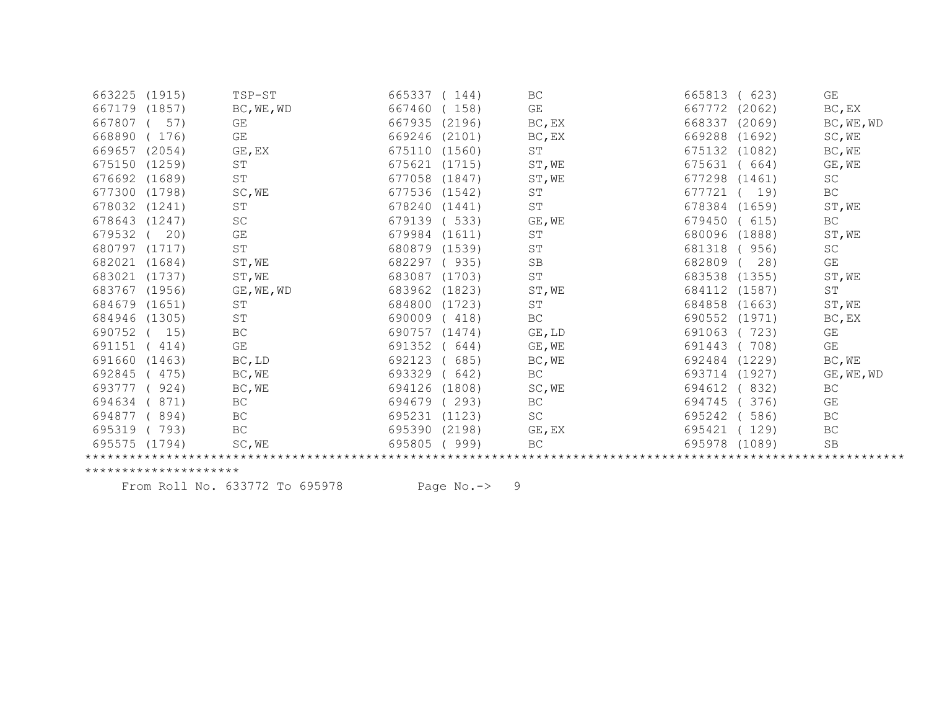| 663225 (1915) |        | TSP-ST               | 665337        | (144)  | BC                  | 665813        | 623)   | GE                  |
|---------------|--------|----------------------|---------------|--------|---------------------|---------------|--------|---------------------|
| 667179        | (1857) | BC, WE, WD           | 667460        | 158)   | GE                  | 667772        | (2062) | BC, EX              |
| 667807        | 57)    | GE                   | 667935        | (2196) | BC, EX              | 668337        | (2069) | BC, WE, WD          |
| 668890        | 176)   | GE                   | 669246        | (2101) | BC, EX              | 669288        | (1692) | SC, WE              |
| 669657        | (2054) | GE, EX               | 675110        | (1560) | ST                  | 675132 (1082) |        | BC, WE              |
| 675150        | (1259) | ST                   | 675621        | (1715) | ST, WE              | 675631        | 664)   | GE, WE              |
| 676692        | (1689) | ST                   | 677058        | (1847) | ST, WE              | 677298 (1461) |        | SC                  |
| 677300        | (1798) | SC, WE               | 677536        | (1542) | ST                  | 677721        | 19)    | $\operatorname{BC}$ |
| 678032        | (1241) | $\operatorname{ST}$  | 678240        | (1441) | ST                  | 678384 (1659) |        | ST, WE              |
| 678643        | (1247) | SC                   | 679139        | 533)   | GE, WE              | 679450        | 615)   | BC                  |
| 679532        | 20)    | GE                   | 679984        | (1611) | ST                  | 680096        | (1888) | ST, WE              |
| 680797        | (1717) | $\mbox{S}\,\mbox{T}$ | 680879 (1539) |        | ST                  | 681318        | (956)  | SC                  |
| 682021        | (1684) | ST, WE               | 682297        | (935)  | $\operatorname{SB}$ | 682809        | 28)    | GE                  |
| 683021        | (1737) | ST, WE               | 683087        | (1703) | ST                  | 683538 (1355) |        | ST, WE              |
| 683767        | (1956) | GE, WE, WD           | 683962        | (1823) | ST, WE              | 684112        | (1587) | ST                  |
| 684679        | (1651) | ST                   | 684800        | (1723) | ST                  | 684858        | (1663) | ST, WE              |
| 684946        | (1305) | $\operatorname{ST}$  | 690009        | (418)  | $\operatorname{BC}$ | 690552        | (1971) | $BC$ , $EX$         |
| 690752        | 15)    | BC                   | 690757        | (1474) | GE, LD              | 691063        | 723)   | GE                  |
| 691151        | 414)   | GE                   | 691352        | 644)   | GE, WE              | 691443        | 708)   | GE                  |
| 691660        | (1463) | BC, LD               | 692123        | 685)   | BC, WE              | 692484        | (1229) | BC, WE              |
| 692845        | 475)   | BC, WE               | 693329        | 642)   | BC                  | 693714        | (1927) | GE, WE, WD          |
| 693777        | 924)   | BC, WE               | 694126        | (1808) | SC, WE              | 694612        | 832)   | BC                  |
| 694634        | 871)   | BC                   | 694679        | 293)   | ВC                  | 694745        | 376)   | GE                  |
| 694877        | 894)   | BC                   | 695231        | (1123) | SC                  | 695242        | 586)   | BC                  |
| 695319        | 793)   | BC                   | 695390        | (2198) | GE, EX              | 695421        | 129)   | BC                  |
| 695575        | (1794) | SC, WE               | 695805        | 999)   | <b>BC</b>           | 695978        | (1089) | <b>SB</b>           |
|               |        |                      |               |        |                     |               |        |                     |

From Roll No. 633772 To 695978 Page No.-> 9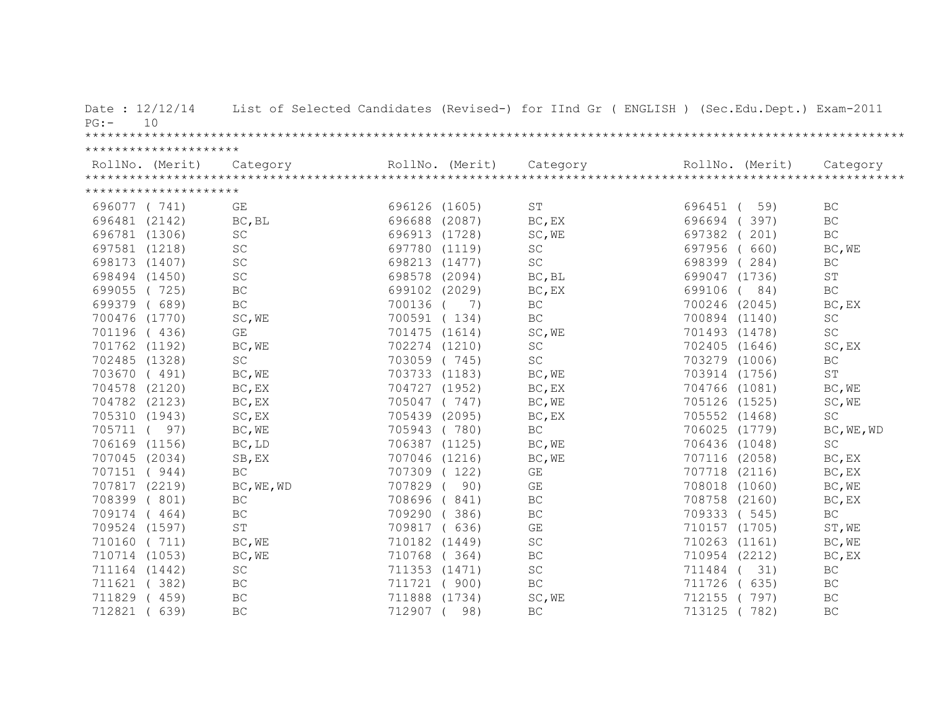| Date: 12/12/14<br>10<br>PG: | List of Selected Candidates (Revised-) for IInd Gr ( ENGLISH ) (Sec.Edu.Dept.) Exam-2011 |               |                 |                         |          |                 |                     |
|-----------------------------|------------------------------------------------------------------------------------------|---------------|-----------------|-------------------------|----------|-----------------|---------------------|
|                             |                                                                                          |               |                 |                         |          |                 |                     |
| *********************       |                                                                                          |               |                 |                         |          |                 |                     |
| RollNo. (Merit)             | Category                                                                                 |               | RollNo. (Merit) | Category                |          | RollNo. (Merit) | Category            |
|                             |                                                                                          |               |                 |                         |          |                 |                     |
| *********************       |                                                                                          |               |                 |                         |          |                 |                     |
| 696077 (741)                | GE                                                                                       | 696126 (1605) |                 | ST                      | 696451 ( | 59)             | BC                  |
| 696481 (2142)               | BC, BL                                                                                   | 696688 (2087) |                 | BC, EX                  | 696694   | (397)           | $\operatorname{BC}$ |
| 696781 (1306)               | SC                                                                                       | 696913 (1728) |                 | SC, WE                  | 697382 ( | 201)            | BC                  |
| 697581 (1218)               | SC                                                                                       | 697780 (1119) |                 | SC                      | 697956   | 660)            | BC, WE              |
| 698173 (1407)               | SC                                                                                       | 698213 (1477) |                 | SC                      |          | 698399 (284)    | BC                  |
| 698494 (1450)               | SC                                                                                       | 698578 (2094) |                 | BC, BL                  |          | 699047 (1736)   | <b>ST</b>           |
| 699055 (725)                | BC                                                                                       | 699102 (2029) |                 | BC, EX                  |          | 699106 (84)     | BC                  |
| 699379 ( 689)               | BC                                                                                       | 700136 (      | 7)              | BC                      |          | 700246 (2045)   | BC, EX              |
| 700476 (1770)               | SC, WE                                                                                   | 700591 (134)  |                 | BC                      |          | 700894 (1140)   | $\operatorname{SC}$ |
| 701196 (436)                | GE                                                                                       | 701475 (1614) |                 | SC, WE                  |          | 701493 (1478)   | SC                  |
| 701762 (1192)               | BC, WE                                                                                   | 702274 (1210) |                 | <b>SC</b>               |          | 702405 (1646)   | SC, EX              |
| 702485 (1328)               | SC                                                                                       | 703059 (745)  |                 | $\operatorname{SC}$     |          | 703279 (1006)   | $\operatorname{BC}$ |
| 703670 (491)                | BC, WE                                                                                   | 703733 (1183) |                 | BC, WE                  |          | 703914 (1756)   | $\operatorname{ST}$ |
| 704578 (2120)               | BC, EX                                                                                   | 704727 (1952) |                 | BC, EX                  |          | 704766 (1081)   | BC, WE              |
| 704782 (2123)               | BC, EX                                                                                   | 705047 (747)  |                 | BC, WE                  |          | 705126 (1525)   | SC, WE              |
| 705310 (1943)               | SC, EX                                                                                   | 705439 (2095) |                 | BC, EX                  |          | 705552 (1468)   | $\operatorname{SC}$ |
| 705711 ( 97)                | BC, WE                                                                                   | 705943 (780)  |                 | BC                      |          | 706025 (1779)   | BC, WE, WD          |
| 706169 (1156)               | BC, LD                                                                                   | 706387 (1125) |                 | BC, WE                  |          | 706436 (1048)   | <b>SC</b>           |
| 707045 (2034)               | SB, EX                                                                                   | 707046 (1216) |                 | BC, WE                  |          | 707116 (2058)   | BC, EX              |
| 707151 (944)                | $\operatorname{BC}$                                                                      | 707309 (122)  |                 | GE                      |          | 707718 (2116)   | BC, EX              |
| 707817 (2219)               | BC, WE, WD                                                                               | 707829 (      | 90)             | GE                      |          | 708018 (1060)   | BC, WE              |
| 708399 (801)                | BC                                                                                       | 708696 (841)  |                 | BC                      |          | 708758 (2160)   | BC, EX              |
| 709174 (464)                | BC                                                                                       | 709290 (386)  |                 | BC                      |          | 709333 (545)    | $\operatorname{BC}$ |
| 709524 (1597)               | $\mbox{S}\,\mbox{T}$                                                                     | 709817 ( 636) |                 | $\mathbb{G}\mathcal{E}$ |          | 710157 (1705)   | ST, WE              |
| 710160 ( 711)               | BC, WE                                                                                   | 710182 (1449) |                 | SC                      |          | 710263 (1161)   | BC, WE              |
| 710714 (1053)               | BC, WE                                                                                   | 710768 (364)  |                 | $\operatorname{BC}$     |          | 710954 (2212)   | $BC$ , $EX$         |
| 711164 (1442)               | $\operatorname{SC}$                                                                      | 711353 (1471) |                 | $\mathtt{SC}$           | 711484 ( | 31)             | BC                  |
| 711621 (382)                | BC                                                                                       | 711721 ( 900) |                 | BC                      |          | 711726 ( 635)   | $\operatorname{BC}$ |
| 711829 (459)                | BC                                                                                       | 711888 (1734) |                 | SC, WE                  | 712155   | (797)           | BC                  |
| 712821<br>639)              | BC                                                                                       | 712907 (      | 98)             | BC                      | 713125   | 782)            | BC                  |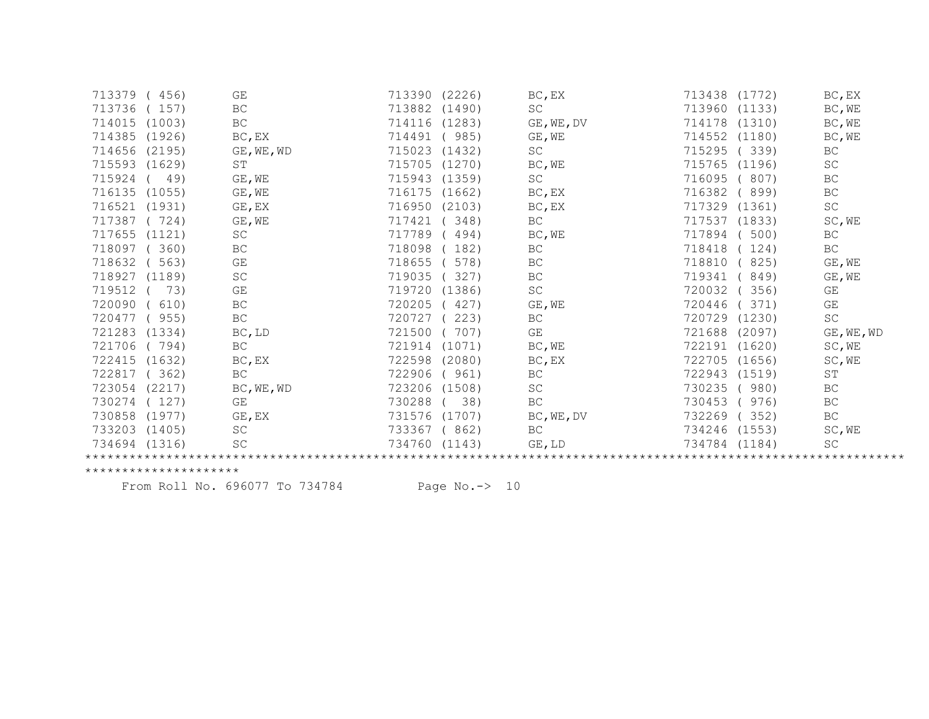| 713379        | 456)   | GE                  | 713390 (2226)    | BC, EX              | 713438 (1772)    | BC, EX              |
|---------------|--------|---------------------|------------------|---------------------|------------------|---------------------|
| 713736        | 157)   | BC                  | 713882<br>(1490) | SC                  | 713960<br>(1133) | BC, WE              |
| 714015        | (1003) | $\operatorname{BC}$ | 714116<br>(1283) | GE, WE, DV          | 714178<br>(1310) | BC, WE              |
| 714385        | (1926) | BC, EX              | 714491<br>985)   | GE, WE              | (1180)<br>714552 | BC, WE              |
| 714656        | (2195) | GE, WE, WD          | 715023<br>(1432) | SC                  | 715295<br>339)   | BC                  |
| 715593 (1629) |        | ST                  | (1270)<br>715705 | BC, WE              | 715765<br>(1196) | <b>SC</b>           |
| 715924        | 49)    | GE, WE              | 715943<br>(1359) | SC                  | 716095<br>807)   | BC                  |
| 716135        | (1055) | $GE$ , WE           | 716175<br>(1662) | BC, EX              | 716382<br>899)   | BC                  |
| 716521        | (1931) | GE, EX              | 716950<br>(2103) | $BC$ , $EX$         | 717329 (1361)    | $\operatorname{SC}$ |
| 717387        | 724)   | GE, WE              | 717421<br>348)   | BC                  | 717537 (1833)    | SC, WE              |
| 717655        | (1121) | SC                  | 717789<br>494)   | BC, WE              | 717894<br>500)   | BC                  |
| 718097        | 360)   | BC                  | 718098<br>182)   | BC                  | 718418<br>124)   | BC                  |
| 718632        | 563)   | GE                  | 718655<br>578)   | BC                  | 718810<br>825)   | GE, WE              |
| 718927        | (1189) | $\operatorname{SC}$ | 719035<br>327)   | BC                  | 719341<br>849)   | GE, WE              |
| 719512        | 73)    | GE                  | 719720<br>(1386) | SC                  | 720032<br>356)   | GE                  |
| 720090        | 610)   | BC                  | 720205<br>427)   | GE, WE              | 720446<br>371)   | GE                  |
| 720477        | 955)   | $\operatorname{BC}$ | 720727<br>223)   | BC                  | 720729<br>(1230) | $\operatorname{SC}$ |
| 721283        | (1334) | BC, LD              | 721500<br>707)   | GE                  | 721688<br>(2097) | GE, WE, WD          |
| 721706        | 794)   | BC                  | 721914<br>(1071) | BC, WE              | 722191 (1620)    | SC, WE              |
| 722415 (1632) |        | BC, EX              | 722598<br>(2080) | BC, EX              | 722705<br>(1656) | SC, WE              |
| 722817        | 362)   | BC                  | 722906<br>961)   | BC                  | 722943<br>(1519) | ST                  |
| 723054        | (2217) | BC, WE, WD          | 723206<br>(1508) | SC                  | 730235<br>980)   | BC                  |
| 730274        | 127    | GE                  | 730288<br>38)    | $\operatorname{BC}$ | 976)<br>730453   | BC                  |
| 730858        | (1977) | GE, EX              | 731576<br>(1707) | BC, WE, DV          | 732269<br>352)   | BC                  |
| 733203        | (1405) | <b>SC</b>           | 733367<br>(862)  | BC                  | 734246 (1553)    | SC, WE              |
| 734694 (1316) |        | $\operatorname{SC}$ | 734760<br>(1143) | GE, LD              | 734784 (1184)    | SC                  |
|               |        |                     |                  |                     |                  |                     |

From Roll No. 696077 To 734784 Page No.-> 10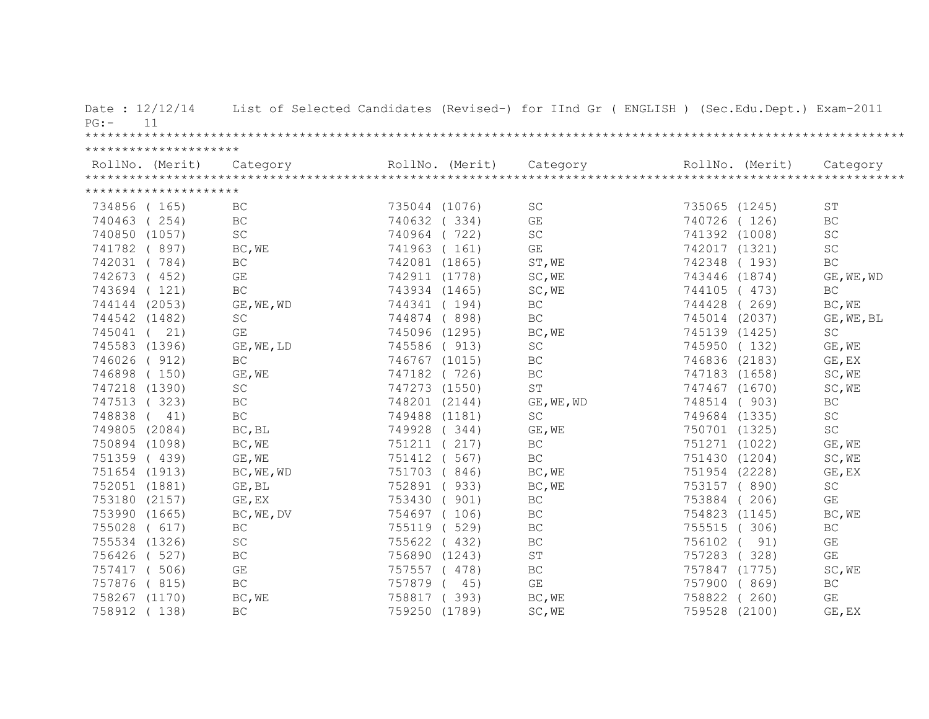| $PG:$ –  | Date: $12/12/14$<br>11        |                               |               |               | List of Selected Candidates (Revised-) for IInd Gr ( ENGLISH ) (Sec.Edu.Dept.) Exam-2011 |                                |        |                               |
|----------|-------------------------------|-------------------------------|---------------|---------------|------------------------------------------------------------------------------------------|--------------------------------|--------|-------------------------------|
|          |                               |                               |               |               |                                                                                          |                                |        |                               |
|          | *********************         |                               |               |               |                                                                                          |                                |        |                               |
|          | *********************         |                               |               |               |                                                                                          |                                |        |                               |
|          | 734856 (165)                  | BC                            | 735044 (1076) |               | SC                                                                                       | 735065 (1245)                  |        | <b>ST</b>                     |
|          | 740463 (254)                  | BC                            | 740632 (334)  |               | $\mathbb{G}\mathcal{E}$                                                                  | 740726 (126)                   |        | BC                            |
|          | 740850 (1057)                 | SC                            | 740964 (722)  |               | $\operatorname{SC}$                                                                      | 741392 (1008)                  |        | SC                            |
|          | 741782 (897)                  | BC, WE                        | 741963 (161)  |               | GE                                                                                       | 742017 (1321)                  |        | SC                            |
|          | 742031 (784)                  | BC                            | 742081 (1865) |               | ST, WE                                                                                   | 742348 (193)                   |        | BC                            |
|          | 742673 (452)                  |                               |               |               |                                                                                          | 743446 (1874)                  |        |                               |
|          | 743694 (121)                  | GE<br>BC                      | 743934 (1465) | 742911 (1778) | SC, WE                                                                                   | 744105 (473)                   |        | GE, WE, WD<br>BC              |
|          | 744144 (2053)                 | GE, WE, WD                    |               | 744341 (194)  | SC, WE<br>BC                                                                             | 744428 (269)                   |        | BC, WE                        |
|          | 744542 (1482)                 | $\operatorname{SC}$           |               | 744874 (898)  | $\operatorname{BC}$                                                                      | 745014 (2037)                  |        |                               |
|          | 745041 ( 21)                  | GE                            |               | 745096 (1295) | BC, WE                                                                                   | 745139 (1425)                  |        | GE, WE, BL<br>SC              |
|          | 745583 (1396)                 | GE, WE, LD                    | 745586 ( 913) |               | $\operatorname{SC}$                                                                      | 745950 (132)                   |        | GE, WE                        |
|          | 746026 (912)                  | $\operatorname{BC}$           |               |               | $\operatorname{BC}$                                                                      |                                |        |                               |
|          |                               |                               | 746767 (1015) |               |                                                                                          | 746836 (2183)                  |        | GE, EX<br>SC, WE              |
|          | 746898 (150)<br>747218 (1390) | GE, WE<br>$\operatorname{SC}$ | 747182 (726)  | 747273 (1550) | BC<br>$\mbox{ST}$                                                                        | 747183 (1658)<br>747467 (1670) |        | SC, WE                        |
|          |                               |                               | 748201 (2144) |               |                                                                                          |                                |        |                               |
| 748838 ( | 747513 (323)                  | BC                            |               |               | GE, WE, WD                                                                               | 748514 ( 903)                  |        | BC                            |
|          | 41)                           | BC<br>BC, BL                  | 749488 (1181) |               | SC                                                                                       | 749684 (1335)                  |        | SC<br>$\operatorname{SC}$     |
|          | 749805 (2084)                 |                               | 749928 (344)  |               | GE, WE                                                                                   | 750701 (1325)                  |        |                               |
|          | 750894 (1098)                 | BC, WE                        | 751211 (217)  |               | $\operatorname{BC}$                                                                      | 751271 (1022)                  |        | $\mathbb{GE}$ , $\mathbb{WE}$ |
|          | 751359 (439)                  | GE, WE                        | 751412 ( 567) |               | BC                                                                                       | 751430 (1204)                  |        | SC, WE                        |
|          | 751654 (1913)                 | BC, WE, WD                    | 751703 (846)  |               | BC, WE                                                                                   | 751954 (2228)                  |        | GE, EX                        |
|          | 752051 (1881)                 | GE, BL                        |               | 752891 (933)  | BC, WE                                                                                   | 753157 (890)                   |        | SC<br>GE                      |
|          | 753180 (2157)                 | GE, EX                        | 753430 ( 901) |               | $\operatorname{BC}$                                                                      | 753884 (206)                   |        |                               |
|          | 753990 (1665)                 | BC, WE, DV                    |               | 754697 (106)  | BC                                                                                       | 754823 (1145)                  |        | BC, WE                        |
|          | 755028 ( 617)                 | $\operatorname{BC}$           | 755119 (529)  |               | BC                                                                                       | 755515 (306)                   |        | BC                            |
|          | 755534 (1326)                 | $\operatorname{SC}$           | 755622 ( 432) |               | BC                                                                                       | 756102 (                       | 91)    | $\mathbb{G}\mathcal{E}$       |
|          | 756426 ( 527)                 | $\operatorname{BC}$           |               | 756890 (1243) | ST                                                                                       | 757283 (328)                   |        | GE                            |
|          | 757417 (506)                  | $\mathbb{G}\mathcal{E}$       |               | 757557 (478)  | $\operatorname{BC}$                                                                      | 757847 (1775)                  |        | SC, WE                        |
|          | 757876 (815)                  | $\operatorname{BC}$           | 757879 (      | 45)           | $\mathbb{G}\mathcal{E}$                                                                  | 757900 (869)                   |        | $\operatorname{BC}$           |
|          | 758267 (1170)                 | BC, WE                        | 758817 (393)  |               | BC, WE                                                                                   | 758822 (260)                   |        | GE                            |
|          | 758912 (138)                  | BC                            | 759250 (1789) |               | SC, WE                                                                                   | 759528                         | (2100) | GE, EX                        |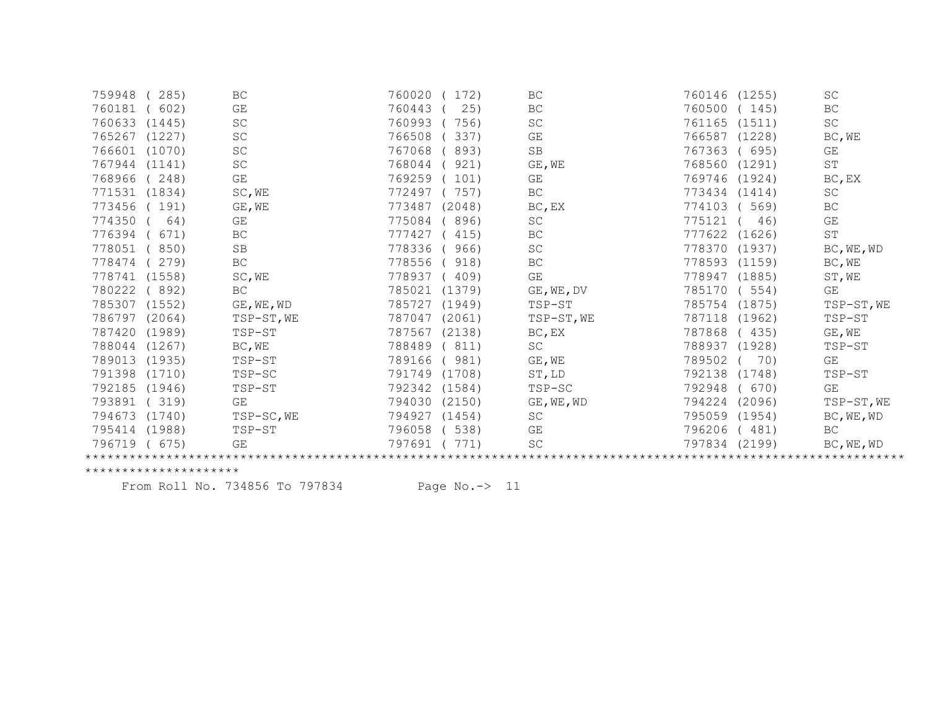| 759948 | 285)   | BC                      | 760020<br>172)   | BC                  | 760146<br>(1255) | $\operatorname{SC}$ |
|--------|--------|-------------------------|------------------|---------------------|------------------|---------------------|
| 760181 | 602)   | GE                      | 760443<br>25)    | BC                  | 760500<br>145)   | $\operatorname{BC}$ |
| 760633 | (1445) | SC                      | 760993<br>756)   | SC                  | (1511)<br>761165 | SC                  |
| 765267 | (1227) | SC                      | 766508<br>337)   | GE                  | 766587<br>(1228) | BC, WE              |
| 766601 | (1070) | $\operatorname{SC}$     | 767068<br>893)   | $\operatorname{SB}$ | 767363<br>695)   | GE                  |
| 767944 | (1141) | $\operatorname{SC}$     | 768044<br>921)   | GE, WE              | 768560 (1291)    | $\operatorname{ST}$ |
| 768966 | 248)   | $\mathbb{G}\mathcal{E}$ | 769259<br>101)   | GE                  | 769746<br>(1924) | BC, EX              |
| 771531 | (1834) | SC, WE                  | 772497<br>757)   | $\operatorname{BC}$ | 773434<br>(1414) | $\operatorname{SC}$ |
| 773456 | 191)   | GE, WE                  | 773487<br>(2048) | BC, EX              | 774103<br>569)   | BC                  |
| 774350 | 64)    | GE                      | 775084<br>896)   | SC                  | 775121<br>46)    | GE                  |
| 776394 | 671)   | BC                      | 777427<br>415)   | BC                  | 777622<br>(1626) | ST                  |
| 778051 | 850)   | $\mbox{SB}$             | 778336<br>966)   | $\operatorname{SC}$ | 778370<br>(1937) | BC, WE, WD          |
| 778474 | 279)   | $\operatorname{BC}$     | 778556<br>918)   | ВC                  | 778593<br>(1159) | BC, WE              |
| 778741 | (1558) | SC, WE                  | 778937<br>409)   | GE                  | 778947 (1885)    | ST, WE              |
| 780222 | 892)   | <b>BC</b>               | 785021<br>(1379) | GE, WE, DV          | 785170<br>554)   | GE                  |
| 785307 | (1552) | GE, WE, WD              | 785727<br>(1949) | TSP-ST              | 785754<br>(1875) | TSP-ST, WE          |
| 786797 | (2064) | TSP-ST, WE              | 787047<br>(2061) | TSP-ST, WE          | 787118<br>(1962) | TSP-ST              |
| 787420 | (1989) | TSP-ST                  | 787567<br>(2138) | BC, EX              | 787868<br>(435)  | $GE$ , $WE$         |
| 788044 | (1267) | BC, WE                  | 788489<br>811)   | SC                  | 788937 (1928)    | TSP-ST              |
| 789013 | (1935) | TSP-ST                  | 789166<br>981)   | GE, WE              | 789502<br>70)    | GE                  |
| 791398 | (1710) | TSP-SC                  | 791749<br>(1708) | ST, LD              | 792138<br>(1748) | TSP-ST              |
| 792185 | (1946) | TSP-ST                  | 792342<br>(1584) | TSP-SC              | 792948<br>(670)  | GE                  |
| 793891 | 319)   | GE                      | 794030<br>(2150) | GE, WE, WD          | 794224<br>(2096) | TSP-ST, WE          |
| 794673 | (1740) | TSP-SC, WE              | 794927<br>(1454) | SC                  | 795059 (1954)    | BC, WE, WD          |
| 795414 | (1988) | TSP-ST                  | 538)<br>796058   | GE                  | 796206<br>(481)  | BC                  |
| 796719 | 675)   | GE                      | 797691<br>771)   | SC                  | 797834<br>(2199) | BC, WE, WD          |
|        |        |                         |                  |                     |                  |                     |

From Roll No. 734856 To 797834 Page No.-> 11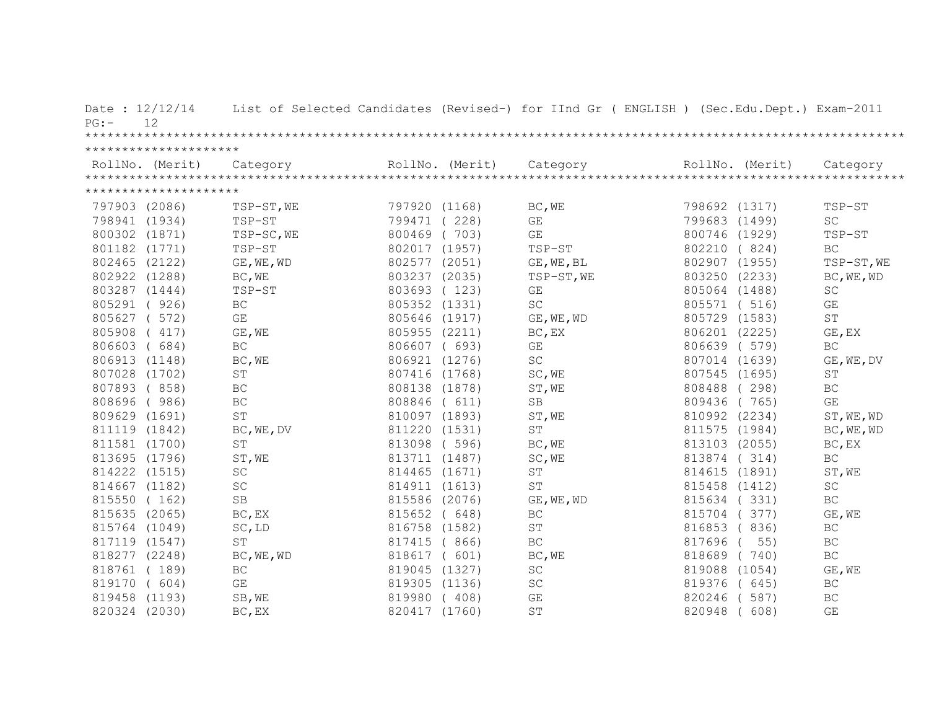| Date: $12/12/14$<br>12<br>$PG: -$ |                      |               | List of Selected Candidates (Revised-) for IInd Gr ( ENGLISH ) (Sec.Edu.Dept.) Exam-2011 |               |       |                     |
|-----------------------------------|----------------------|---------------|------------------------------------------------------------------------------------------|---------------|-------|---------------------|
|                                   |                      |               |                                                                                          |               |       |                     |
| *********************             |                      |               |                                                                                          |               |       |                     |
|                                   |                      |               |                                                                                          |               |       |                     |
|                                   |                      |               |                                                                                          |               |       |                     |
| *********************             |                      |               |                                                                                          |               |       |                     |
| 797903 (2086)                     | TSP-ST, WE           | 797920 (1168) | BC, WE                                                                                   | 798692 (1317) |       | TSP-ST              |
| 798941 (1934)                     | TSP-ST               | 799471 (228)  | GE                                                                                       | 799683 (1499) |       | <b>SC</b>           |
| 800302 (1871)                     | TSP-SC, WE           | 800469 (703)  | $\mathbb{G}\mathcal{E}$                                                                  | 800746 (1929) |       | TSP-ST              |
| 801182 (1771)                     | TSP-ST               | 802017 (1957) | TSP-ST                                                                                   | 802210 (824)  |       | BC                  |
| 802465 (2122)                     | GE, WE, WD           | 802577 (2051) | GE, WE, BL                                                                               | 802907 (1955) |       | TSP-ST, WE          |
| 802922 (1288)                     | BC, WE               | 803237 (2035) | TSP-ST, WE                                                                               | 803250 (2233) |       | BC, WE, WD          |
| 803287 (1444)                     | TSP-ST               | 803693 (123)  | GE                                                                                       | 805064 (1488) |       | <b>SC</b>           |
| 805291 (926)                      | BC                   | 805352 (1331) | <b>SC</b>                                                                                | 805571 (516)  |       | GE                  |
| 805627 ( 572)                     | GE                   | 805646 (1917) | GE, WE, WD                                                                               | 805729 (1583) |       | $\operatorname{ST}$ |
| 805908 (417)                      | GE, WE               | 805955 (2211) | BC, EX                                                                                   | 806201 (2225) |       | GE, EX              |
| 806603 (684)                      | BC                   | 806607 ( 693) | GE                                                                                       | 806639 ( 579) |       | BC                  |
| 806913 (1148)                     | BC, WE               | 806921 (1276) | $\operatorname{SC}$                                                                      | 807014 (1639) |       | GE, WE, DV          |
| 807028 (1702)                     | $\operatorname{ST}$  | 807416 (1768) | SC, WE                                                                                   | 807545 (1695) |       | ST                  |
| 807893 (858)                      | $\operatorname{BC}$  | 808138 (1878) | ST, WE                                                                                   | 808488 (298)  |       | BC                  |
| 808696 (986)                      | $\operatorname{BC}$  | 808846 ( 611) | $\mbox{SB}$                                                                              | 809436 (765)  |       | GE                  |
| 809629 (1691)                     | ST                   | 810097 (1893) | ST, WE                                                                                   | 810992 (2234) |       | ST, WE, WD          |
| 811119 (1842)                     | BC, WE, DV           | 811220 (1531) | ST                                                                                       | 811575 (1984) |       | BC, WE, WD          |
| 811581 (1700)                     | $\operatorname{ST}$  | 813098 (596)  | BC, WE                                                                                   | 813103 (2055) |       | BC, EX              |
| 813695 (1796)                     | ST, WE               | 813711 (1487) | SC, WE                                                                                   | 813874 (314)  |       | BC                  |
| 814222 (1515)                     | SC                   | 814465 (1671) | ST                                                                                       | 814615 (1891) |       | ST, WE              |
| 814667 (1182)                     | $\operatorname{SC}$  | 814911 (1613) | ST                                                                                       | 815458 (1412) |       | $\operatorname{SC}$ |
| 815550 (162)                      | $\operatorname{SB}$  | 815586 (2076) | GE, WE, WD                                                                               | 815634 (331)  |       | BC                  |
| 815635 (2065)                     | BC, EX               | 815652 ( 648) | BC                                                                                       | 815704 (377)  |       | GE, WE              |
| 815764 (1049)                     | SC, LD               | 816758 (1582) | ST                                                                                       | 816853 (836)  |       | $\operatorname{BC}$ |
| 817119 (1547)                     | $\mbox{S}\,\mbox{T}$ | 817415 ( 866) | $\operatorname{BC}$                                                                      | 817696 (      | 55)   | $\operatorname{BC}$ |
| 818277 (2248)                     | BC, WE, WD           | 818617 ( 601) | BC, WE                                                                                   | 818689 (740)  |       | BC                  |
| 818761 (189)                      | $\operatorname{BC}$  | 819045 (1327) | $\operatorname{SC}$                                                                      | 819088 (1054) |       | GE, WE              |
| 819170 ( 604)                     | GE                   | 819305 (1136) | $\operatorname{SC}$                                                                      | 819376 ( 645) |       | $\operatorname{BC}$ |
| 819458 (1193)                     | SB, WE               | 819980 (408)  | $\mathbb{G}\mathcal{E}$                                                                  | 820246        | (587) | BC                  |
| 820324 (2030)                     | BC, EX               | 820417 (1760) | $\operatorname{ST}$                                                                      | 820948        | 608)  | GE                  |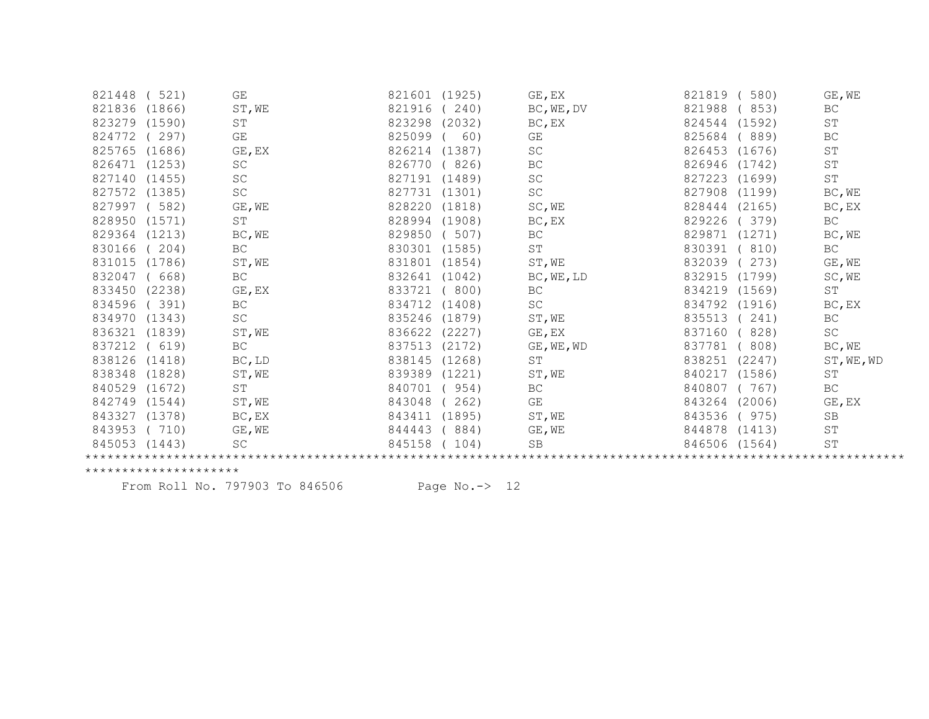| 821448        | 521)   | GE                  | 821601 (1925)    | GE, EX              | 580)<br>821819   | GE, WE              |
|---------------|--------|---------------------|------------------|---------------------|------------------|---------------------|
| 821836        | (1866) | ST, WE              | 821916<br>240)   | BC, WE, DV          | 821988<br>853)   | BC                  |
| 823279        | (1590) | ST                  | (2032)<br>823298 | BC, EX              | 824544<br>(1592) | $\mbox{ST}$         |
| 824772        | (297)  | GE                  | 825099<br>60)    | GE                  | 825684<br>889)   | BC                  |
| 825765        | (1686) | GE, EX              | 826214<br>(1387) | SC                  | 826453 (1676)    | ST                  |
| 826471        | (1253) | SC                  | 826770<br>826)   | ВC                  | 826946<br>(1742) | ST                  |
| 827140        | (1455) | $\operatorname{SC}$ | 827191<br>(1489) | SC                  | 827223<br>(1699) | ST                  |
| 827572        | (1385) | $\operatorname{SC}$ | 827731<br>(1301) | SC                  | 827908<br>(1199) | BC, WE              |
| 827997        | 582)   | $GE$ , $WE$         | 828220<br>(1818) | SC, WE              | 828444<br>(2165) | BC, EX              |
| 828950        | (1571) | $\operatorname{ST}$ | 828994<br>(1908) | BC, EX              | 829226<br>379)   | BC                  |
| 829364        | (1213) | BC, WE              | 829850<br>507)   | BC                  | 829871<br>(1271) | BC, WE              |
| 830166        | 204)   | <b>BC</b>           | 830301<br>(1585) | $\operatorname{ST}$ | 830391<br>810)   | <b>BC</b>           |
| 831015        | (1786) | ST, WE              | 831801<br>(1854) | ST, WE              | 832039<br>273)   | GE, WE              |
| 832047        | 668)   | $\operatorname{BC}$ | 832641<br>(1042) | BC, WE, LD          | 832915 (1799)    | SC, WE              |
| 833450        | (2238) | GE, EX              | 833721<br>800)   | BC                  | 834219 (1569)    | ST                  |
| 834596        | 391)   | BC                  | 834712<br>(1408) | SC                  | 834792<br>(1916) | BC, EX              |
| 834970        | (1343) | $\operatorname{SC}$ | 835246<br>(1879) | ST, WE              | 835513<br>(241)  | $\operatorname{BC}$ |
| 836321        | (1839) | ST, WE              | 836622<br>(2227) | GE, EX              | 837160<br>828)   | $\operatorname{SC}$ |
| 837212        | 619)   | BC                  | 837513<br>(2172) | GE, WE, WD          | 837781<br>808)   | BC, WE              |
| 838126        | (1418) | BC, LD              | 838145<br>(1268) | <b>ST</b>           | 838251<br>(2247) | ST, WE, WD          |
| 838348        | (1828) | ST, WE              | 839389<br>(1221) | ST, WE              | 840217<br>(1586) | ST                  |
| 840529        | (1672) | ST                  | 840701<br>954)   | BC                  | 840807<br>767)   | BC                  |
| 842749        | (1544) | ST, WE              | 843048<br>262)   | GE                  | 843264<br>(2006) | GE, EX              |
| 843327        | (1378) | BC, EX              | 843411<br>(1895) | ST, WE              | 843536<br>975)   | SB                  |
| 843953        | 710)   | GE, WE              | 884)<br>844443   | GE, WE              | 844878<br>(1413) | ST                  |
| 845053 (1443) |        | SC                  | 845158<br>104)   | <b>SB</b>           | 846506 (1564)    | $\operatorname{ST}$ |
|               |        |                     |                  |                     |                  |                     |

From Roll No. 797903 To 846506 Page No.-> 12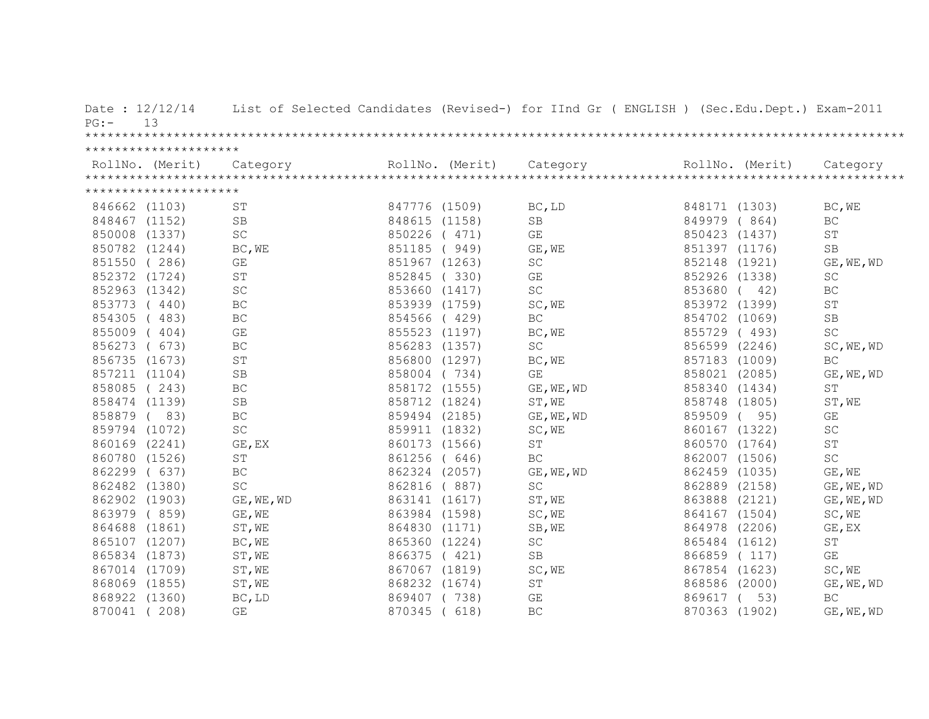| $PG:$ –  | Date: 12/12/14<br>13  |                     |               |                 | List of Selected Candidates (Revised-) for IInd Gr ( ENGLISH ) (Sec.Edu.Dept.) Exam-2011 |               |                 |                         |
|----------|-----------------------|---------------------|---------------|-----------------|------------------------------------------------------------------------------------------|---------------|-----------------|-------------------------|
|          |                       |                     |               |                 |                                                                                          |               |                 |                         |
|          | ********************* |                     |               |                 |                                                                                          |               |                 |                         |
|          | RollNo. (Merit)       | Category            |               | RollNo. (Merit) | Category                                                                                 |               | RollNo. (Merit) | Category                |
|          |                       |                     |               |                 |                                                                                          |               |                 |                         |
|          | ********************* |                     |               |                 |                                                                                          |               |                 |                         |
|          | 846662 (1103)         | ST                  | 847776 (1509) |                 | BC, LD                                                                                   | 848171 (1303) |                 | BC, WE                  |
|          | 848467 (1152)         | SB                  | 848615 (1158) |                 | $\operatorname{SB}$                                                                      | 849979        | (864)           | $\operatorname{BC}$     |
|          | 850008 (1337)         | SC                  | 850226 (471)  |                 | GE                                                                                       | 850423        | (1437)          | <b>ST</b>               |
|          | 850782 (1244)         | BC, WE              | 851185        | (949)           | GE, WE                                                                                   | 851397 (1176) |                 | <b>SB</b>               |
|          | 851550 (286)          | GE                  | 851967 (1263) |                 | $\operatorname{SC}$                                                                      | 852148 (1921) |                 | GE, WE, WD              |
|          | 852372 (1724)         | ST                  | 852845        | (330)           | GE                                                                                       | 852926 (1338) |                 | SC                      |
|          | 852963 (1342)         | SC                  | 853660 (1417) |                 | <b>SC</b>                                                                                | 853680        | 42)             | BC                      |
|          | 853773 (440)          | BC                  | 853939 (1759) |                 | SC, WE                                                                                   | 853972 (1399) |                 | $\operatorname{ST}$     |
| 854305   | (483)                 | BC                  | 854566 (429)  |                 | $\operatorname{BC}$                                                                      | 854702 (1069) |                 | SB                      |
|          | 855009 (404)          | GE                  | 855523 (1197) |                 | BC, WE                                                                                   | 855729 (493)  |                 | SC                      |
|          | 856273 ( 673)         | BC                  | 856283 (1357) |                 | SC                                                                                       | 856599 (2246) |                 | SC, WE, WD              |
|          | 856735 (1673)         | $\operatorname{ST}$ | 856800 (1297) |                 | BC, WE                                                                                   | 857183 (1009) |                 | BC                      |
|          | 857211 (1104)         | SB                  | 858004 (734)  |                 | GE                                                                                       | 858021 (2085) |                 | GE, WE, WD              |
|          | 858085 (243)          | BC                  | 858172 (1555) |                 | GE, WE, WD                                                                               | 858340 (1434) |                 | <b>ST</b>               |
|          | 858474 (1139)         | $\rm SB$            | 858712 (1824) |                 | ST, WE                                                                                   | 858748 (1805) |                 | ST, WE                  |
| 858879 ( | 83)                   | BC                  | 859494 (2185) |                 | GE, WE, WD                                                                               | 859509        | 95)             | $\mathbb{G}\mathcal{E}$ |
|          | 859794 (1072)         | SC                  | 859911 (1832) |                 | SC, WE                                                                                   | 860167 (1322) |                 | SC                      |
|          | 860169 (2241)         | GE, EX              | 860173 (1566) |                 | ST                                                                                       | 860570 (1764) |                 | <b>ST</b>               |
|          | 860780 (1526)         | $\operatorname{ST}$ | 861256 ( 646) |                 | BC                                                                                       | 862007 (1506) |                 | SC                      |
|          | 862299 (637)          | BC                  | 862324 (2057) |                 | GE, WE, WD                                                                               | 862459 (1035) |                 | GE, WE                  |
|          | 862482 (1380)         | SC                  | 862816 (887)  |                 | SC                                                                                       | 862889 (2158) |                 | GE, WE, WD              |
|          | 862902 (1903)         | GE, WE, WD          | 863141 (1617) |                 | ST, WE                                                                                   | 863888        | (2121)          | GE, WE, WD              |
|          | 863979 (859)          | GE, WE              | 863984 (1598) |                 | SC, WE                                                                                   | 864167        | (1504)          | SC, WE                  |
|          | 864688 (1861)         | ST, WE              | 864830 (1171) |                 | SB, WE                                                                                   | 864978        | (2206)          | GE, EX                  |
|          | 865107 (1207)         | BC, WE              | 865360 (1224) |                 | SC                                                                                       | 865484 (1612) |                 | ST                      |
|          | 865834 (1873)         | ST, WE              | 866375        | (421)           | SB                                                                                       | 866859        | (117)           | $\mathbb{G}\mathcal{E}$ |
|          | 867014 (1709)         | ST, WE              | 867067 (1819) |                 | SC, WE                                                                                   | 867854 (1623) |                 | SC, WE                  |
|          | 868069 (1855)         | ST, WE              | 868232 (1674) |                 | ST                                                                                       | 868586        | (2000)          | GE, WE, WD              |
|          | 868922 (1360)         | BC, LD              | 869407        | (738)           | GE                                                                                       | 869617        | 53)             | BC                      |
|          | 870041 (208)          | GE                  | 870345        | 618)            | BC                                                                                       | 870363        | (1902)          | GE, WE, WD              |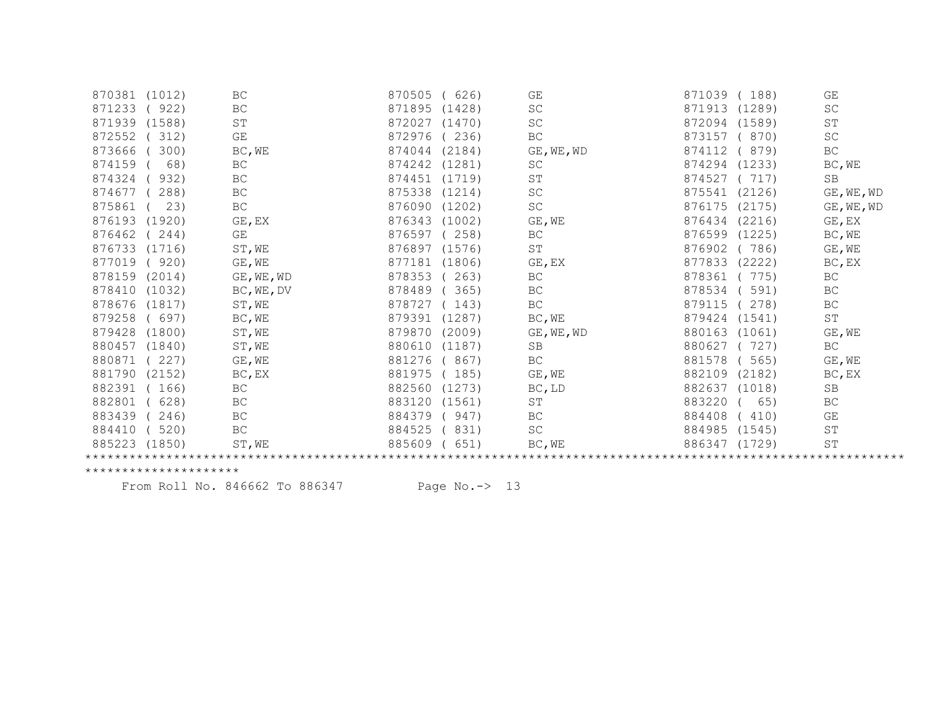| 870381<br>(1012) | BC                  | 870505<br>626)   | GE                  | 871039<br>188)   | GE                  |  |  |
|------------------|---------------------|------------------|---------------------|------------------|---------------------|--|--|
| 871233<br>922)   | $\operatorname{BC}$ | 871895<br>(1428) | $\operatorname{SC}$ | 871913<br>(1289) | SC                  |  |  |
| 871939<br>(1588) | $\mbox{ST}$         | 872027<br>(1470) | $\operatorname{SC}$ | 872094<br>(1589) | ST                  |  |  |
| 872552<br>312)   | GE                  | 872976<br>236)   | ВC                  | 873157<br>870)   | SC                  |  |  |
| 873666<br>300)   | BC, WE              | 874044<br>(2184) | GE, WE, WD          | 874112<br>879)   | $\operatorname{BC}$ |  |  |
| 68)<br>874159    | BC                  | 874242<br>(1281) | <b>SC</b>           | 874294<br>(1233) | BC, WE              |  |  |
| 874324<br>932)   | $\operatorname{BC}$ | 874451<br>(1719) | $\operatorname{ST}$ | 874527<br>717)   | SB                  |  |  |
| 874677<br>288)   | BC                  | 875338<br>(1214) | $\operatorname{SC}$ | 875541<br>(2126) | GE, WE, WD          |  |  |
| 875861<br>23)    | BC                  | 876090<br>(1202) | $\operatorname{SC}$ | 876175<br>(2175) | GE, WE, WD          |  |  |
| 876193<br>(1920) | GE, EX              | 876343<br>(1002) | GE, WE              | 876434<br>(2216) | GE, EX              |  |  |
| 876462<br>244)   | GE                  | 876597<br>258)   | BC                  | 876599<br>(1225) | BC, WE              |  |  |
| 876733<br>(1716) | ST, WE              | 876897<br>(1576) | $\operatorname{ST}$ | 876902<br>786)   | GE, WE              |  |  |
| 877019<br>920)   | GE, WE              | 877181<br>(1806) | GE, EX              | 877833<br>(2222) | BC, EX              |  |  |
| 878159<br>(2014) | GE, WE, WD          | 878353<br>263)   | ВC                  | 878361<br>775)   | $\operatorname{BC}$ |  |  |
| 878410<br>(1032) | BC, WE, DV          | 878489<br>365)   | BC                  | 878534<br>591)   | BC                  |  |  |
| 878676<br>(1817) | ST, WE              | 878727<br>143)   | BC                  | 879115<br>278)   | BC                  |  |  |
| 879258<br>697)   | BC, WE              | 879391<br>(1287) | BC, WE              | 879424<br>(1541) | $\operatorname{ST}$ |  |  |
| 879428<br>(1800) | ST, WE              | 879870<br>(2009) | GE, WE, WD          | 880163<br>(1061) | GE, WE              |  |  |
| 880457<br>(1840) | ST, WE              | 880610<br>(1187) | SB                  | 880627<br>727)   | BC                  |  |  |
| 880871<br>227)   | GE, WE              | 881276<br>867)   | BC                  | 881578<br>565)   | GE, WE              |  |  |
| 881790<br>(2152) | BC, EX              | 881975<br>185)   | GE, WE              | 882109<br>(2182) | BC, EX              |  |  |
| 882391<br>166)   | BC                  | 882560<br>(1273) | BC, LD              | 882637<br>(1018) | SB                  |  |  |
| 882801<br>628)   | BC                  | 883120<br>(1561) | ST                  | 883220<br>65)    | BC                  |  |  |
| 883439<br>246)   | BC                  | 884379<br>947)   | BC                  | 884408<br>410)   | GE                  |  |  |
| 884410<br>520)   | $\operatorname{BC}$ | 831)<br>884525   | SC                  | 884985<br>(1545) | ST                  |  |  |
| 885223<br>(1850) | ST, WE              | 885609<br>651)   | BC, WE              | 886347<br>(1729) | $\operatorname{ST}$ |  |  |
|                  |                     |                  |                     |                  |                     |  |  |

From Roll No. 846662 To 886347 Page No.-> 13